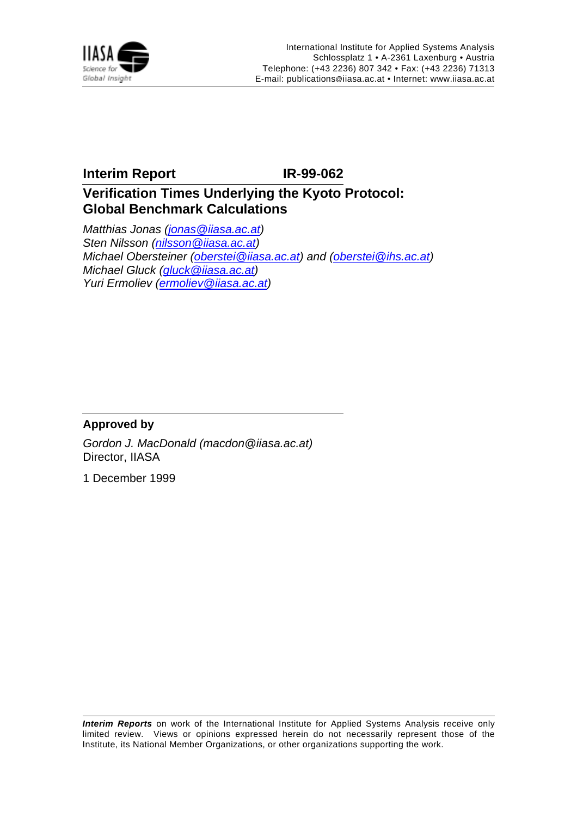

## **Interim Report IR-99-062**

# **Verification Times Underlying the Kyoto Protocol: Global Benchmark Calculations**

Matthias Jonas (jonas @iiasa.ac.at) Sten Nilsson (nilsson@iiasa.ac.at) Michael Obersteiner (oberstei@iiasa.ac.at) and (oberstei@ihs.ac.at) Michael Gluck (gluck @iiasa.ac.at) Yuri Ermoliev (ermoliev@iiasa.ac.at)

### **Approved by**

Gordon J. MacDonald (macdon@iiasa.ac.at) Director, IIASA

1 December 1999

**Interim Reports** on work of the International Institute for Applied Systems Analysis receive only limited review. Views or opinions expressed herein do not necessarily represent those of the Institute, its National Member Organizations, or other organizations supporting the work.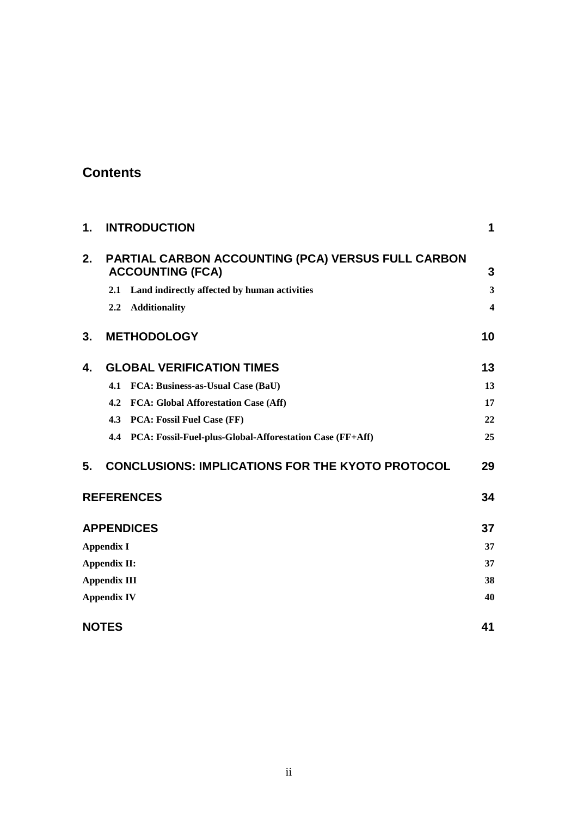# **Contents**

| 1. |                     | <b>INTRODUCTION</b>                                                           | 1  |
|----|---------------------|-------------------------------------------------------------------------------|----|
| 2. |                     | PARTIAL CARBON ACCOUNTING (PCA) VERSUS FULL CARBON<br><b>ACCOUNTING (FCA)</b> | 3  |
|    |                     | 2.1 Land indirectly affected by human activities                              | 3  |
|    | 2.2                 | <b>Additionality</b>                                                          | 4  |
| 3. |                     | <b>METHODOLOGY</b>                                                            | 10 |
| 4. |                     | <b>GLOBAL VERIFICATION TIMES</b>                                              | 13 |
|    | 4.1                 | <b>FCA: Business-as-Usual Case (BaU)</b>                                      | 13 |
|    | 4.2                 | <b>FCA: Global Afforestation Case (Aff)</b>                                   | 17 |
|    | 4.3                 | <b>PCA: Fossil Fuel Case (FF)</b>                                             | 22 |
|    |                     | 4.4 PCA: Fossil-Fuel-plus-Global-Afforestation Case (FF+Aff)                  | 25 |
| 5. |                     | <b>CONCLUSIONS: IMPLICATIONS FOR THE KYOTO PROTOCOL</b>                       | 29 |
|    |                     | <b>REFERENCES</b>                                                             | 34 |
|    |                     | <b>APPENDICES</b>                                                             | 37 |
|    | <b>Appendix I</b>   |                                                                               | 37 |
|    | <b>Appendix II:</b> |                                                                               | 37 |
|    | <b>Appendix III</b> |                                                                               | 38 |
|    | <b>Appendix IV</b>  |                                                                               | 40 |
|    | <b>NOTES</b>        |                                                                               | 41 |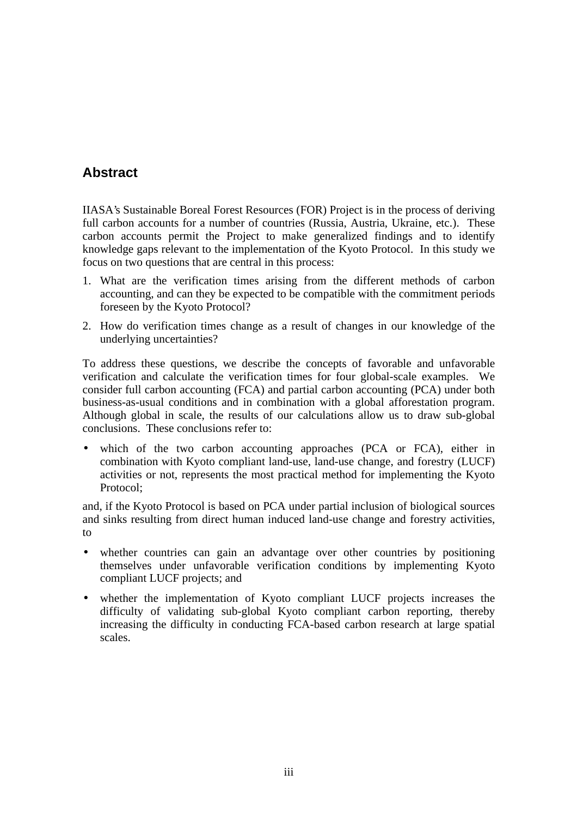# **Abstract**

IIASA's Sustainable Boreal Forest Resources (FOR) Project is in the process of deriving full carbon accounts for a number of countries (Russia, Austria, Ukraine, etc.). These carbon accounts permit the Project to make generalized findings and to identify knowledge gaps relevant to the implementation of the Kyoto Protocol. In this study we focus on two questions that are central in this process:

- 1. What are the verification times arising from the different methods of carbon accounting, and can they be expected to be compatible with the commitment periods foreseen by the Kyoto Protocol?
- 2. How do verification times change as a result of changes in our knowledge of the underlying uncertainties?

To address these questions, we describe the concepts of favorable and unfavorable verification and calculate the verification times for four global-scale examples. We consider full carbon accounting (FCA) and partial carbon accounting (PCA) under both business-as-usual conditions and in combination with a global afforestation program. Although global in scale, the results of our calculations allow us to draw sub-global conclusions. These conclusions refer to:

which of the two carbon accounting approaches (PCA or FCA), either in combination with Kyoto compliant land-use, land-use change, and forestry (LUCF) activities or not, represents the most practical method for implementing the Kyoto Protocol;

and, if the Kyoto Protocol is based on PCA under partial inclusion of biological sources and sinks resulting from direct human induced land-use change and forestry activities, to

- whether countries can gain an advantage over other countries by positioning themselves under unfavorable verification conditions by implementing Kyoto compliant LUCF projects; and
- whether the implementation of Kyoto compliant LUCF projects increases the difficulty of validating sub-global Kyoto compliant carbon reporting, thereby increasing the difficulty in conducting FCA-based carbon research at large spatial scales.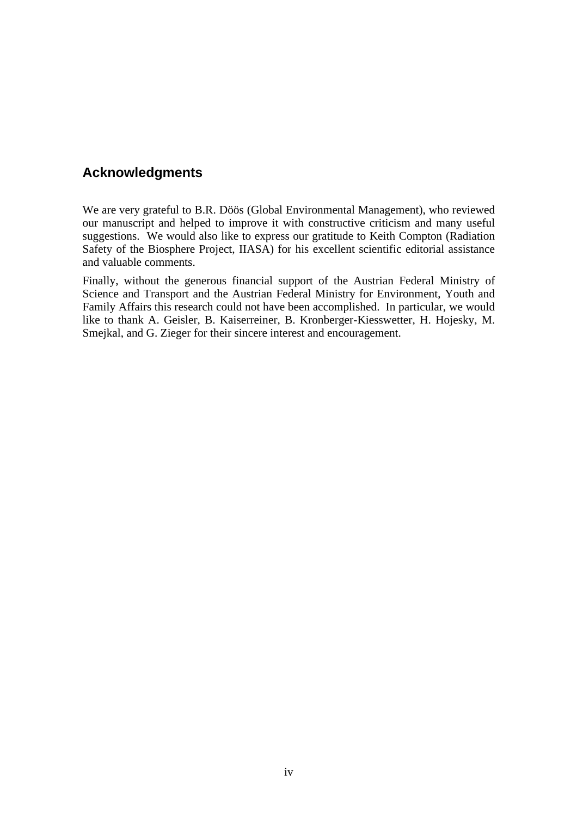## **Acknowledgments**

We are very grateful to B.R. Döös (Global Environmental Management), who reviewed our manuscript and helped to improve it with constructive criticism and many useful suggestions. We would also like to express our gratitude to Keith Compton (Radiation Safety of the Biosphere Project, IIASA) for his excellent scientific editorial assistance and valuable comments.

Finally, without the generous financial support of the Austrian Federal Ministry of Science and Transport and the Austrian Federal Ministry for Environment, Youth and Family Affairs this research could not have been accomplished. In particular, we would like to thank A. Geisler, B. Kaiserreiner, B. Kronberger-Kiesswetter, H. Hojesky, M. Smejkal, and G. Zieger for their sincere interest and encouragement.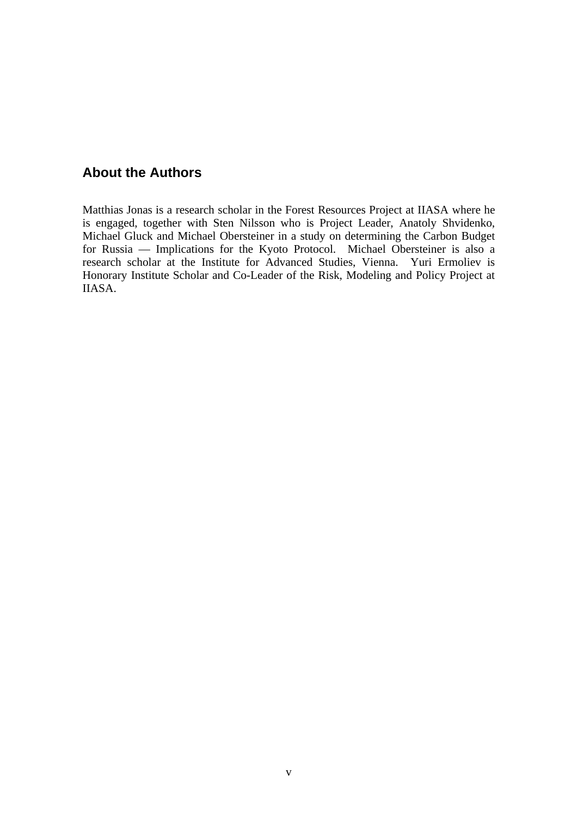## **About the Authors**

Matthias Jonas is a research scholar in the Forest Resources Project at IIASA where he is engaged, together with Sten Nilsson who is Project Leader, Anatoly Shvidenko, Michael Gluck and Michael Obersteiner in a study on determining the Carbon Budget for Russia — Implications for the Kyoto Protocol. Michael Obersteiner is also a research scholar at the Institute for Advanced Studies, Vienna. Yuri Ermoliev is Honorary Institute Scholar and Co-Leader of the Risk, Modeling and Policy Project at IIASA.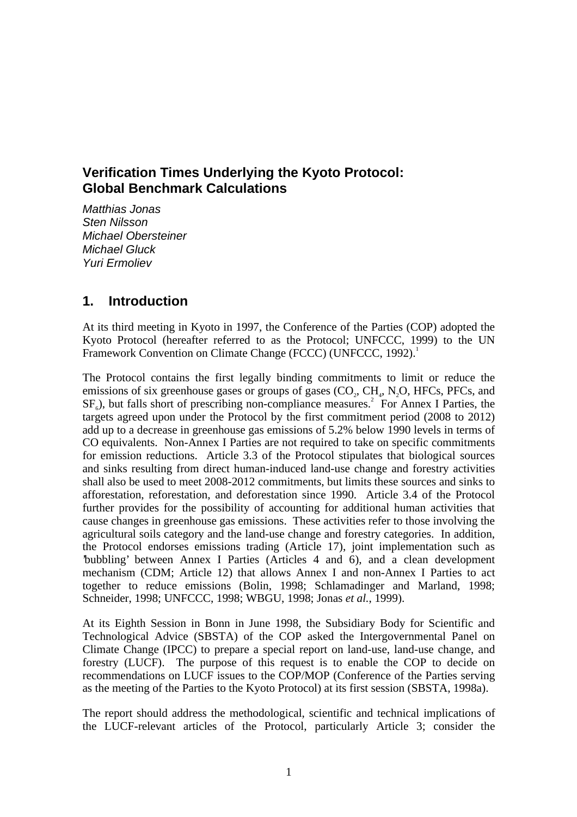# **Verification Times Underlying the Kyoto Protocol: Global Benchmark Calculations**

Matthias Jonas Sten Nilsson Michael Obersteiner Michael Gluck Yuri Ermoliev

### **1. Introduction**

At its third meeting in Kyoto in 1997, the Conference of the Parties (COP) adopted the Kyoto Protocol (hereafter referred to as the Protocol; UNFCCC, 1999) to the UN Framework Convention on Climate Change (FCCC) (UNFCCC, 1992).<sup>1</sup>

The Protocol contains the first legally binding commitments to limit or reduce the emissions of six greenhouse gases or groups of gases  $(CO_2, CH_4, N_2O, HFCs, PFCs, and$  $SF<sub>6</sub>$ ), but falls short of prescribing non-compliance measures.<sup>2</sup> For Annex I Parties, the targets agreed upon under the Protocol by the first commitment period (2008 to 2012) add up to a decrease in greenhouse gas emissions of 5.2% below 1990 levels in terms of CO equivalents. Non-Annex I Parties are not required to take on specific commitments for emission reductions. Article 3.3 of the Protocol stipulates that biological sources and sinks resulting from direct human-induced land-use change and forestry activities shall also be used to meet 2008-2012 commitments, but limits these sources and sinks to afforestation, reforestation, and deforestation since 1990. Article 3.4 of the Protocol further provides for the possibility of accounting for additional human activities that cause changes in greenhouse gas emissions. These activities refer to those involving the agricultural soils category and the land-use change and forestry categories. In addition, the Protocol endorses emissions trading (Article 17), joint implementation such as 'bubbling' between Annex I Parties (Articles 4 and 6), and a clean development mechanism (CDM; Article 12) that allows Annex I and non-Annex I Parties to act together to reduce emissions (Bolin, 1998; Schlamadinger and Marland, 1998; Schneider, 1998; UNFCCC, 1998; WBGU, 1998; Jonas *et al.*, 1999).

At its Eighth Session in Bonn in June 1998, the Subsidiary Body for Scientific and Technological Advice (SBSTA) of the COP asked the Intergovernmental Panel on Climate Change (IPCC) to prepare a special report on land-use, land-use change, and forestry (LUCF). The purpose of this request is to enable the COP to decide on recommendations on LUCF issues to the COP/MOP (Conference of the Parties serving as the meeting of the Parties to the Kyoto Protocol) at its first session (SBSTA, 1998a).

The report should address the methodological, scientific and technical implications of the LUCF-relevant articles of the Protocol, particularly Article 3; consider the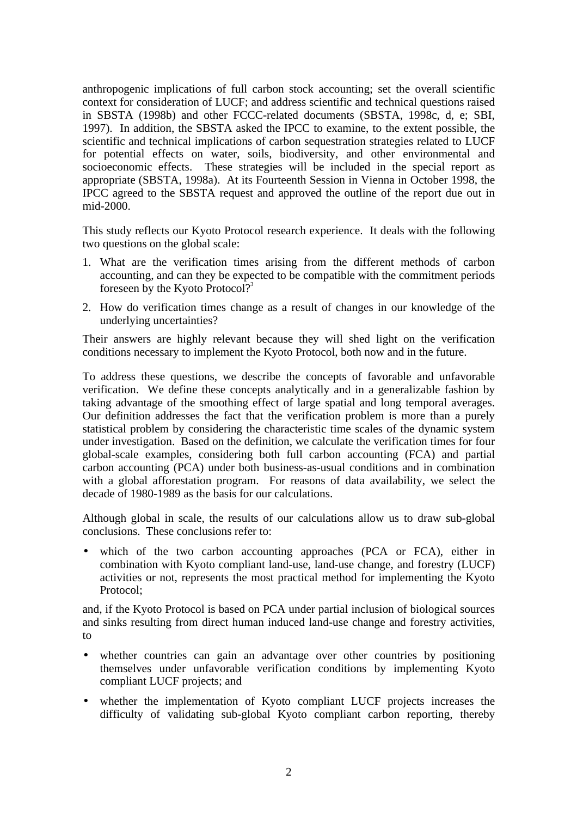anthropogenic implications of full carbon stock accounting; set the overall scientific context for consideration of LUCF; and address scientific and technical questions raised in SBSTA (1998b) and other FCCC-related documents (SBSTA, 1998c, d, e; SBI, 1997). In addition, the SBSTA asked the IPCC to examine, to the extent possible, the scientific and technical implications of carbon sequestration strategies related to LUCF for potential effects on water, soils, biodiversity, and other environmental and socioeconomic effects. These strategies will be included in the special report as appropriate (SBSTA, 1998a). At its Fourteenth Session in Vienna in October 1998, the IPCC agreed to the SBSTA request and approved the outline of the report due out in mid-2000.

This study reflects our Kyoto Protocol research experience. It deals with the following two questions on the global scale:

- 1. What are the verification times arising from the different methods of carbon accounting, and can they be expected to be compatible with the commitment periods foreseen by the Kyoto Protocol?<sup>3</sup>
- 2. How do verification times change as a result of changes in our knowledge of the underlying uncertainties?

Their answers are highly relevant because they will shed light on the verification conditions necessary to implement the Kyoto Protocol, both now and in the future.

To address these questions, we describe the concepts of favorable and unfavorable verification. We define these concepts analytically and in a generalizable fashion by taking advantage of the smoothing effect of large spatial and long temporal averages. Our definition addresses the fact that the verification problem is more than a purely statistical problem by considering the characteristic time scales of the dynamic system under investigation. Based on the definition, we calculate the verification times for four global-scale examples, considering both full carbon accounting (FCA) and partial carbon accounting (PCA) under both business-as-usual conditions and in combination with a global afforestation program. For reasons of data availability, we select the decade of 1980-1989 as the basis for our calculations.

Although global in scale, the results of our calculations allow us to draw sub-global conclusions. These conclusions refer to:

• which of the two carbon accounting approaches (PCA or FCA), either in combination with Kyoto compliant land-use, land-use change, and forestry (LUCF) activities or not, represents the most practical method for implementing the Kyoto Protocol;

and, if the Kyoto Protocol is based on PCA under partial inclusion of biological sources and sinks resulting from direct human induced land-use change and forestry activities, to

- whether countries can gain an advantage over other countries by positioning themselves under unfavorable verification conditions by implementing Kyoto compliant LUCF projects; and
- whether the implementation of Kyoto compliant LUCF projects increases the difficulty of validating sub-global Kyoto compliant carbon reporting, thereby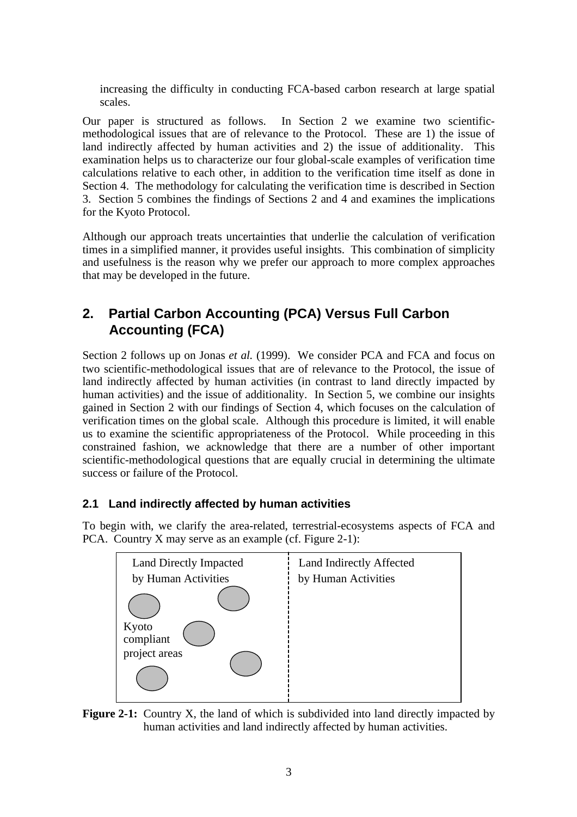increasing the difficulty in conducting FCA-based carbon research at large spatial scales.

Our paper is structured as follows. In Section 2 we examine two scientificmethodological issues that are of relevance to the Protocol. These are 1) the issue of land indirectly affected by human activities and 2) the issue of additionality. This examination helps us to characterize our four global-scale examples of verification time calculations relative to each other, in addition to the verification time itself as done in Section 4. The methodology for calculating the verification time is described in Section 3. Section 5 combines the findings of Sections 2 and 4 and examines the implications for the Kyoto Protocol.

Although our approach treats uncertainties that underlie the calculation of verification times in a simplified manner, it provides useful insights. This combination of simplicity and usefulness is the reason why we prefer our approach to more complex approaches that may be developed in the future.

# **2. Partial Carbon Accounting (PCA) Versus Full Carbon Accounting (FCA)**

Section 2 follows up on Jonas *et al.* (1999). We consider PCA and FCA and focus on two scientific-methodological issues that are of relevance to the Protocol, the issue of land indirectly affected by human activities (in contrast to land directly impacted by human activities) and the issue of additionality. In Section 5, we combine our insights gained in Section 2 with our findings of Section 4, which focuses on the calculation of verification times on the global scale. Although this procedure is limited, it will enable us to examine the scientific appropriateness of the Protocol. While proceeding in this constrained fashion, we acknowledge that there are a number of other important scientific-methodological questions that are equally crucial in determining the ultimate success or failure of the Protocol.

### **2.1 Land indirectly affected by human activities**

To begin with, we clarify the area-related, terrestrial-ecosystems aspects of FCA and PCA. Country X may serve as an example (cf. Figure 2-1):



**Figure 2-1:** Country X, the land of which is subdivided into land directly impacted by human activities and land indirectly affected by human activities.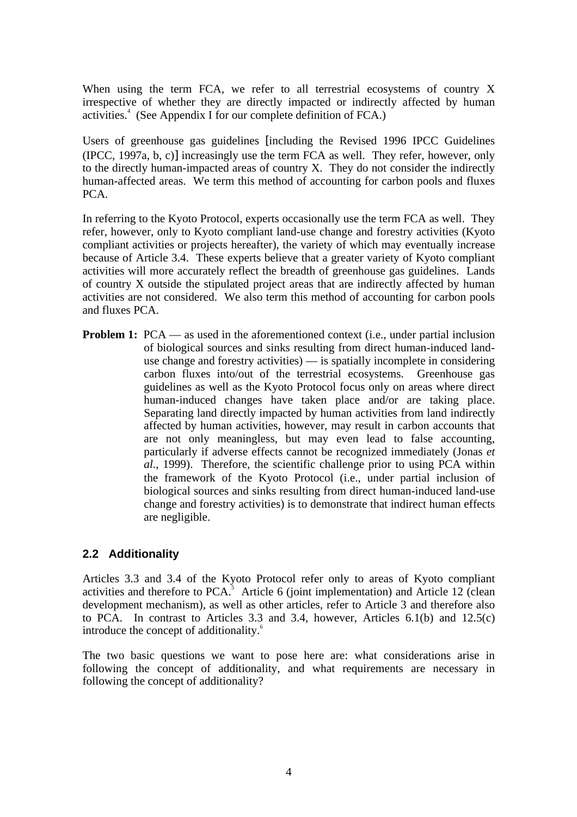When using the term FCA, we refer to all terrestrial ecosystems of country X irrespective of whether they are directly impacted or indirectly affected by human activities.<sup>4</sup> (See Appendix I for our complete definition of FCA.)

Users of greenhouse gas guidelines [including the Revised 1996 IPCC Guidelines (IPCC, 1997a, b, c)] increasingly use the term FCA as well. They refer, however, only to the directly human-impacted areas of country X. They do not consider the indirectly human-affected areas. We term this method of accounting for carbon pools and fluxes PCA.

In referring to the Kyoto Protocol, experts occasionally use the term FCA as well. They refer, however, only to Kyoto compliant land-use change and forestry activities (Kyoto compliant activities or projects hereafter), the variety of which may eventually increase because of Article 3.4. These experts believe that a greater variety of Kyoto compliant activities will more accurately reflect the breadth of greenhouse gas guidelines. Lands of country X outside the stipulated project areas that are indirectly affected by human activities are not considered. We also term this method of accounting for carbon pools and fluxes PCA.

**Problem 1:** PCA — as used in the aforementioned context (i.e., under partial inclusion of biological sources and sinks resulting from direct human-induced landuse change and forestry activities) — is spatially incomplete in considering carbon fluxes into/out of the terrestrial ecosystems. Greenhouse gas guidelines as well as the Kyoto Protocol focus only on areas where direct human-induced changes have taken place and/or are taking place. Separating land directly impacted by human activities from land indirectly affected by human activities, however, may result in carbon accounts that are not only meaningless, but may even lead to false accounting, particularly if adverse effects cannot be recognized immediately (Jonas *et al.*, 1999). Therefore, the scientific challenge prior to using PCA within the framework of the Kyoto Protocol (i.e., under partial inclusion of biological sources and sinks resulting from direct human-induced land-use change and forestry activities) is to demonstrate that indirect human effects are negligible.

### **2.2 Additionality**

Articles 3.3 and 3.4 of the Kyoto Protocol refer only to areas of Kyoto compliant activities and therefore to PCA. $5$  Article 6 (joint implementation) and Article 12 (clean development mechanism), as well as other articles, refer to Article 3 and therefore also to PCA. In contrast to Articles 3.3 and 3.4, however, Articles 6.1(b) and 12.5(c) introduce the concept of additionality.<sup>6</sup>

The two basic questions we want to pose here are: what considerations arise in following the concept of additionality, and what requirements are necessary in following the concept of additionality?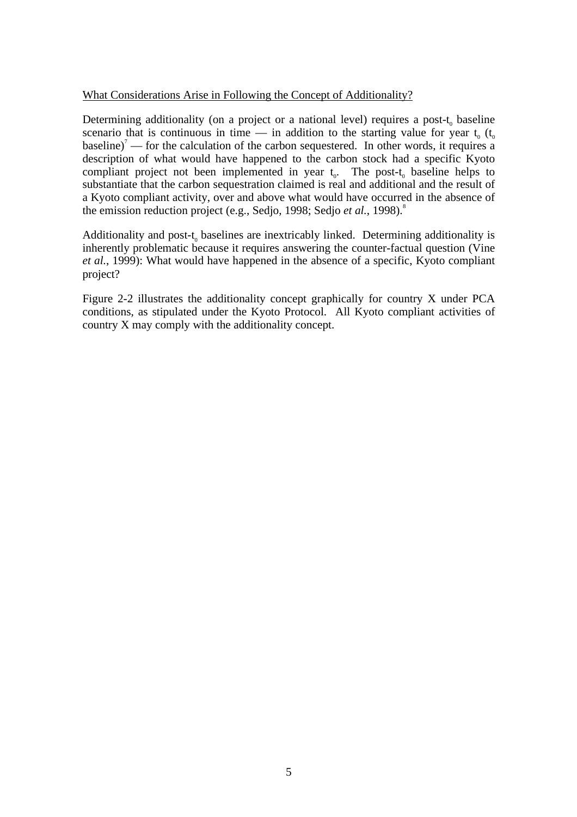### What Considerations Arise in Following the Concept of Additionality?

Determining additionality (on a project or a national level) requires a post- $t_0$  baseline scenario that is continuous in time — in addition to the starting value for year  $t_0$  ( $t_0$ ) baseline)<sup> $7$ </sup> — for the calculation of the carbon sequestered. In other words, it requires a description of what would have happened to the carbon stock had a specific Kyoto compliant project not been implemented in year  $t_0$ . The post- $t_0$  baseline helps to substantiate that the carbon sequestration claimed is real and additional and the result of a Kyoto compliant activity, over and above what would have occurred in the absence of the emission reduction project (e.g., Sedjo, 1998; Sedjo *et al.*, 1998).<sup>8</sup>

Additionality and post-t, baselines are inextricably linked. Determining additionality is inherently problematic because it requires answering the counter-factual question (Vine *et al.*, 1999): What would have happened in the absence of a specific, Kyoto compliant project?

Figure 2-2 illustrates the additionality concept graphically for country X under PCA conditions, as stipulated under the Kyoto Protocol. All Kyoto compliant activities of country X may comply with the additionality concept.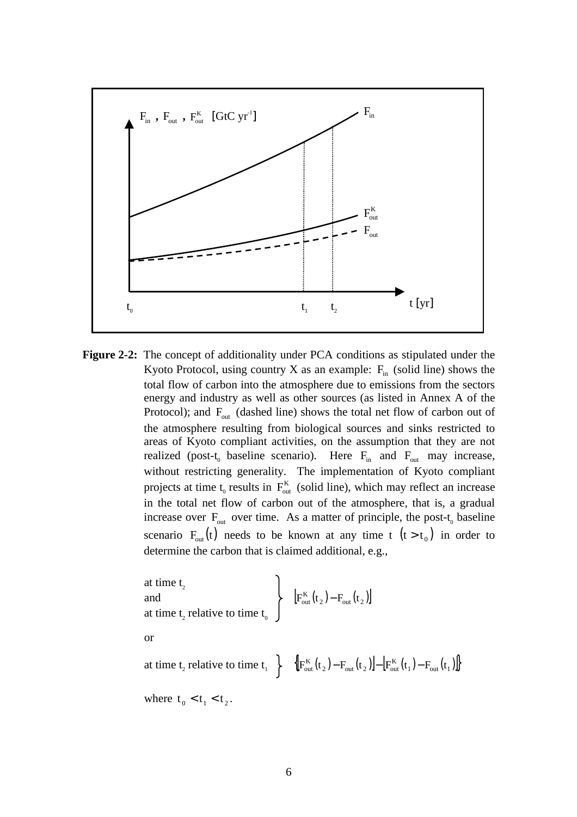

**Figure 2-2:** The concept of additionality under PCA conditions as stipulated under the Kyoto Protocol, using country X as an example:  $F_{in}$  (solid line) shows the total flow of carbon into the atmosphere due to emissions from the sectors energy and industry as well as other sources (as listed in Annex A of the Protocol); and  $F_{\text{out}}$  (dashed line) shows the total net flow of carbon out of the atmosphere resulting from biological sources and sinks restricted to areas of Kyoto compliant activities, on the assumption that they are not realized (post-t<sub>0</sub> baseline scenario). Here  $F_{in}$  and  $F_{out}$  may increase, without restricting generality. The implementation of Kyoto compliant projects at time  $t_0$  results in  $F_{out}^K$  (solid line), which may reflect an increase in the total net flow of carbon out of the atmosphere, that is, a gradual increase over  $F_{\text{out}}$  over time. As a matter of principle, the post-t<sub>0</sub> baseline scenario  $F_{\text{out}}(t)$  needs to be known at any time t  $(t > t_0)$  in order to determine the carbon that is claimed additional, e.g.,

at time 
$$
t_2
$$
  
\nand  
\nat time  $t_2$  relative to time  $t_0$   
\nor  
\nat time  $t_2$  relative to time  $t_1$   $\Big\}$   $\Big\{F_{out}^{K}(t_2) - F_{out}(t_2)\Big] - \Big[F_{out}^{K}(t_1) - F_{out}(t_1)\Big]$ 

where  $t_0 < t_1 < t_2$ .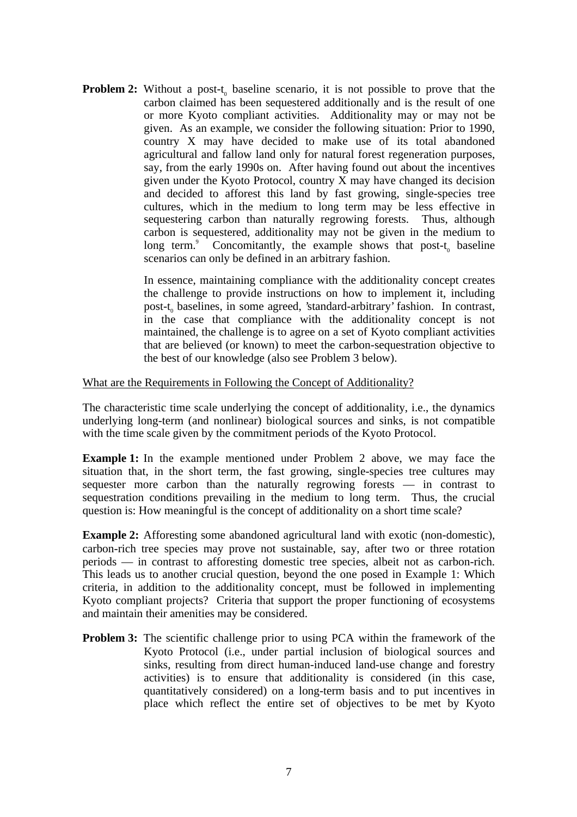**Problem 2:** Without a post-t<sub>0</sub> baseline scenario, it is not possible to prove that the carbon claimed has been sequestered additionally and is the result of one or more Kyoto compliant activities. Additionality may or may not be given. As an example, we consider the following situation: Prior to 1990, country X may have decided to make use of its total abandoned agricultural and fallow land only for natural forest regeneration purposes, say, from the early 1990s on. After having found out about the incentives given under the Kyoto Protocol, country X may have changed its decision and decided to afforest this land by fast growing, single-species tree cultures, which in the medium to long term may be less effective in sequestering carbon than naturally regrowing forests. Thus, although carbon is sequestered, additionality may not be given in the medium to long term.<sup>9</sup> Concomitantly, the example shows that post-t<sub>0</sub> baseline scenarios can only be defined in an arbitrary fashion.

> In essence, maintaining compliance with the additionality concept creates the challenge to provide instructions on how to implement it, including post-t<sub>0</sub> baselines, in some agreed, 'standard-arbitrary' fashion. In contrast, in the case that compliance with the additionality concept is not maintained, the challenge is to agree on a set of Kyoto compliant activities that are believed (or known) to meet the carbon-sequestration objective to the best of our knowledge (also see Problem 3 below).

#### What are the Requirements in Following the Concept of Additionality?

The characteristic time scale underlying the concept of additionality, i.e., the dynamics underlying long-term (and nonlinear) biological sources and sinks, is not compatible with the time scale given by the commitment periods of the Kyoto Protocol.

**Example 1:** In the example mentioned under Problem 2 above, we may face the situation that, in the short term, the fast growing, single-species tree cultures may sequester more carbon than the naturally regrowing forests — in contrast to sequestration conditions prevailing in the medium to long term. Thus, the crucial question is: How meaningful is the concept of additionality on a short time scale?

**Example 2:** Afforesting some abandoned agricultural land with exotic (non-domestic), carbon-rich tree species may prove not sustainable, say, after two or three rotation periods — in contrast to afforesting domestic tree species, albeit not as carbon-rich. This leads us to another crucial question, beyond the one posed in Example 1: Which criteria, in addition to the additionality concept, must be followed in implementing Kyoto compliant projects? Criteria that support the proper functioning of ecosystems and maintain their amenities may be considered.

**Problem 3:** The scientific challenge prior to using PCA within the framework of the Kyoto Protocol (i.e., under partial inclusion of biological sources and sinks, resulting from direct human-induced land-use change and forestry activities) is to ensure that additionality is considered (in this case, quantitatively considered) on a long-term basis and to put incentives in place which reflect the entire set of objectives to be met by Kyoto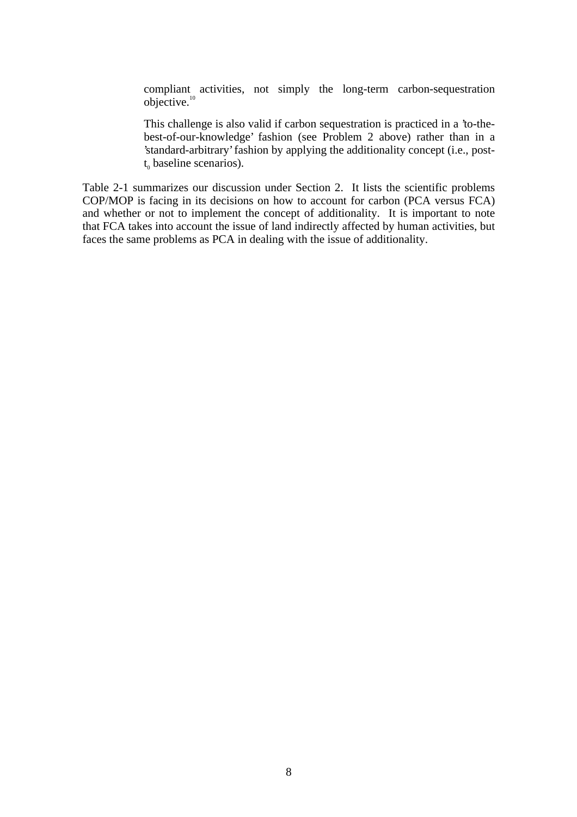compliant activities, not simply the long-term carbon-sequestration objective.<sup>10</sup>

This challenge is also valid if carbon sequestration is practiced in a 'to-thebest-of-our-knowledge' fashion (see Problem 2 above) rather than in a 'standard-arbitrary' fashion by applying the additionality concept (i.e., post $t<sub>o</sub>$  baseline scenarios).

Table 2-1 summarizes our discussion under Section 2. It lists the scientific problems COP/MOP is facing in its decisions on how to account for carbon (PCA versus FCA) and whether or not to implement the concept of additionality. It is important to note that FCA takes into account the issue of land indirectly affected by human activities, but faces the same problems as PCA in dealing with the issue of additionality.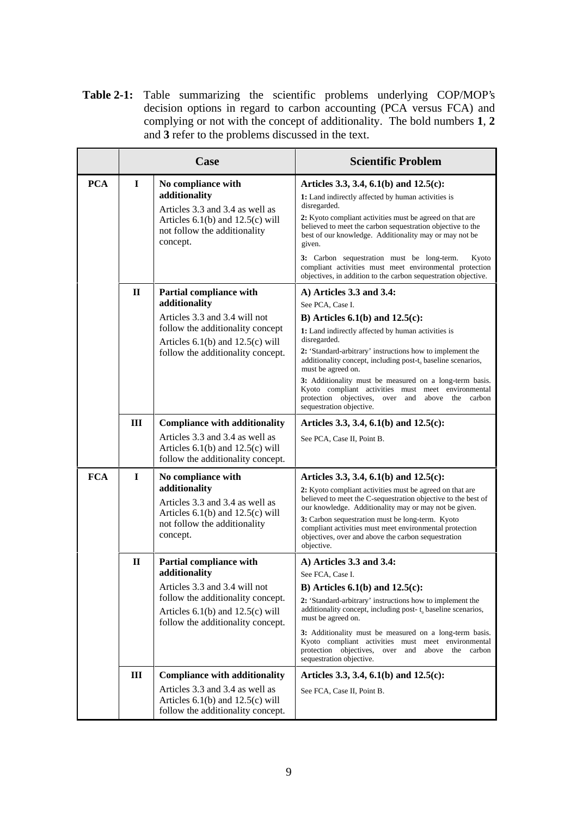**Table 2-1:** Table summarizing the scientific problems underlying COP/MOP's decision options in regard to carbon accounting (PCA versus FCA) and complying or not with the concept of additionality. The bold numbers **1**, **2** and **3** refer to the problems discussed in the text.

|            | Case         |                                                                                                                                                                                                   | <b>Scientific Problem</b>                                                                                                                                                                                                                                                                                                                                                                                                                                                                                                        |  |
|------------|--------------|---------------------------------------------------------------------------------------------------------------------------------------------------------------------------------------------------|----------------------------------------------------------------------------------------------------------------------------------------------------------------------------------------------------------------------------------------------------------------------------------------------------------------------------------------------------------------------------------------------------------------------------------------------------------------------------------------------------------------------------------|--|
| <b>PCA</b> | $\mathbf I$  | No compliance with<br>additionality<br>Articles 3.3 and 3.4 as well as<br>Articles $6.1(b)$ and $12.5(c)$ will<br>not follow the additionality<br>concept.                                        | Articles 3.3, 3.4, 6.1(b) and 12.5(c):<br>1: Land indirectly affected by human activities is<br>disregarded.<br>2: Kyoto compliant activities must be agreed on that are<br>believed to meet the carbon sequestration objective to the<br>best of our knowledge. Additionality may or may not be<br>given.<br>3: Carbon sequestration must be long-term.<br>Kyoto<br>compliant activities must meet environmental protection<br>objectives, in addition to the carbon sequestration objective.                                   |  |
|            | $\mathbf{H}$ | <b>Partial compliance with</b><br>additionality<br>Articles 3.3 and 3.4 will not<br>follow the additionality concept<br>Articles $6.1(b)$ and $12.5(c)$ will<br>follow the additionality concept. | A) Articles 3.3 and 3.4:<br>See PCA, Case I.<br>B) Articles $6.1(b)$ and $12.5(c)$ :<br>1: Land indirectly affected by human activities is<br>disregarded.<br>2: 'Standard-arbitrary' instructions how to implement the<br>additionality concept, including post-t <sub>0</sub> baseline scenarios,<br>must be agreed on.<br>3: Additionality must be measured on a long-term basis.<br>Kyoto compliant activities must meet environmental<br>protection objectives,<br>over and<br>above the carbon<br>sequestration objective. |  |
|            | III          | <b>Compliance with additionality</b><br>Articles 3.3 and 3.4 as well as<br>Articles $6.1(b)$ and $12.5(c)$ will<br>follow the additionality concept.                                              | Articles 3.3, 3.4, 6.1(b) and 12.5(c):<br>See PCA, Case II, Point B.                                                                                                                                                                                                                                                                                                                                                                                                                                                             |  |
| <b>FCA</b> | $\mathbf I$  | No compliance with<br>additionality<br>Articles 3.3 and 3.4 as well as<br>Articles $6.1(b)$ and $12.5(c)$ will<br>not follow the additionality<br>concept.                                        | Articles 3.3, 3.4, 6.1(b) and 12.5(c):<br>2: Kyoto compliant activities must be agreed on that are<br>believed to meet the C-sequestration objective to the best of<br>our knowledge. Additionality may or may not be given.<br>3: Carbon sequestration must be long-term. Kyoto<br>compliant activities must meet environmental protection<br>objectives, over and above the carbon sequestration<br>objective.                                                                                                                 |  |
|            | $\mathbf{H}$ | Partial compliance with<br>additionality<br>Articles 3.3 and 3.4 will not<br>follow the additionality concept.<br>Articles $6.1(b)$ and $12.5(c)$ will<br>follow the additionality concept.       | A) Articles 3.3 and 3.4:<br>See FCA, Case I.<br>B) Articles $6.1(b)$ and $12.5(c)$ :<br>2: 'Standard-arbitrary' instructions how to implement the<br>additionality concept, including post-t <sub>0</sub> baseline scenarios,<br>must be agreed on.<br>3: Additionality must be measured on a long-term basis.<br>Kyoto compliant activities must meet environmental<br>protection objectives, over and<br>above the carbon<br>sequestration objective.                                                                          |  |
|            | Ш            | <b>Compliance with additionality</b><br>Articles 3.3 and 3.4 as well as<br>Articles $6.1(b)$ and $12.5(c)$ will<br>follow the additionality concept.                                              | Articles 3.3, 3.4, 6.1(b) and 12.5(c):<br>See FCA, Case II, Point B.                                                                                                                                                                                                                                                                                                                                                                                                                                                             |  |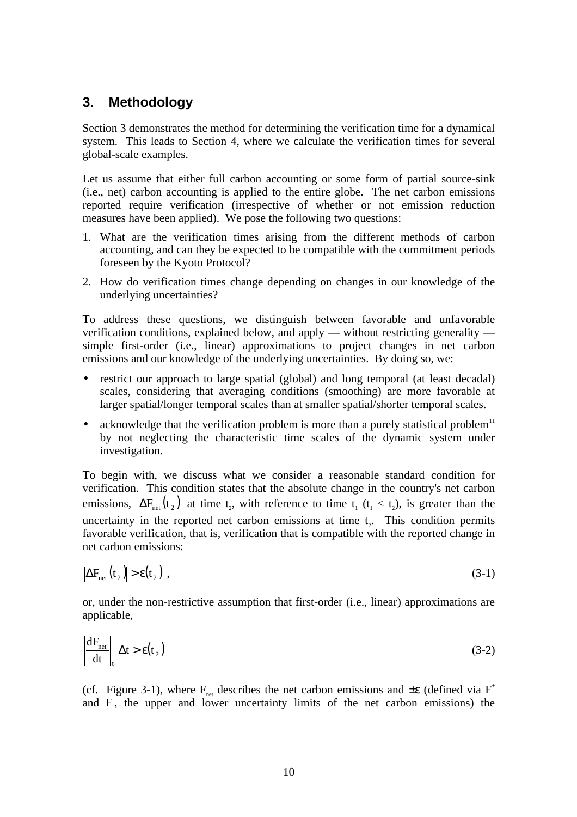### **3. Methodology**

Section 3 demonstrates the method for determining the verification time for a dynamical system. This leads to Section 4, where we calculate the verification times for several global-scale examples.

Let us assume that either full carbon accounting or some form of partial source-sink (i.e., net) carbon accounting is applied to the entire globe. The net carbon emissions reported require verification (irrespective of whether or not emission reduction measures have been applied). We pose the following two questions:

- 1. What are the verification times arising from the different methods of carbon accounting, and can they be expected to be compatible with the commitment periods foreseen by the Kyoto Protocol?
- 2. How do verification times change depending on changes in our knowledge of the underlying uncertainties?

To address these questions, we distinguish between favorable and unfavorable verification conditions, explained below, and apply — without restricting generality simple first-order (i.e., linear) approximations to project changes in net carbon emissions and our knowledge of the underlying uncertainties. By doing so, we:

- restrict our approach to large spatial (global) and long temporal (at least decadal) scales, considering that averaging conditions (smoothing) are more favorable at larger spatial/longer temporal scales than at smaller spatial/shorter temporal scales.
- acknowledge that the verification problem is more than a purely statistical problem $11$ by not neglecting the characteristic time scales of the dynamic system under investigation.

To begin with, we discuss what we consider a reasonable standard condition for verification. This condition states that the absolute change in the country's net carbon emissions,  $\left|\Delta F_{\text{net}}(t_2)\right|$  at time  $t_2$ , with reference to time  $t_1$  ( $t_1 < t_2$ ), is greater than the uncertainty in the reported net carbon emissions at time  $t<sub>2</sub>$ . This condition permits favorable verification, that is, verification that is compatible with the reported change in net carbon emissions:

$$
\left|\Delta F_{\text{net}}(t_2)\right| > \varepsilon(t_2) \tag{3-1}
$$

or, under the non-restrictive assumption that first-order (i.e., linear) approximations are applicable,

$$
\left|\frac{dF_{\text{net}}}{dt}\right|_{t_1} \Delta t > \varepsilon(t_2) \tag{3-2}
$$

(cf. Figure 3-1), where  $F_{net}$  describes the net carbon emissions and  $\pm \varepsilon$  (defined via F<sup>+</sup> and F, the upper and lower uncertainty limits of the net carbon emissions) the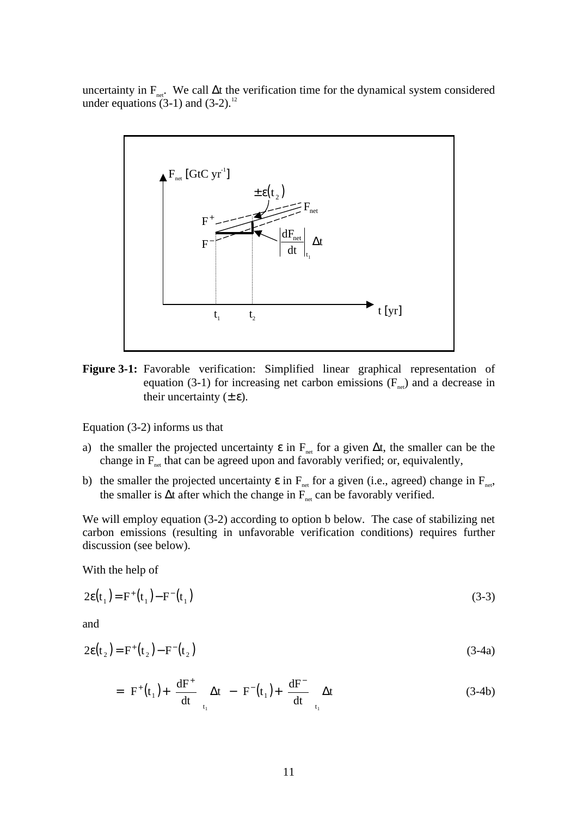uncertainty in F<sub>net</sub>. We call ∆t the verification time for the dynamical system considered under equations  $(3-1)$  and  $(3-2)$ .<sup>12</sup>



**Figure 3-1:** Favorable verification: Simplified linear graphical representation of equation (3-1) for increasing net carbon emissions  $(F_{net})$  and a decrease in their uncertainty  $(\pm \varepsilon)$ .

Equation (3-2) informs us that

- a) the smaller the projected uncertainty  $\epsilon$  in  $F_{net}$  for a given  $\Delta t$ , the smaller can be the change in  $F_{net}$  that can be agreed upon and favorably verified; or, equivalently,
- b) the smaller the projected uncertainty  $\varepsilon$  in  $F_{net}$  for a given (i.e., agreed) change in  $F_{net}$ , the smaller is  $\Delta t$  after which the change in  $\overline{F}_{net}$  can be favorably verified.

We will employ equation (3-2) according to option b below. The case of stabilizing net carbon emissions (resulting in unfavorable verification conditions) requires further discussion (see below).

With the help of

$$
2\epsilon(t_1) = F^+(t_1) - F^-(t_1) \tag{3-3}
$$

and

$$
2\epsilon(\mathbf{t}_2) = \mathbf{F}^+(\mathbf{t}_2) - \mathbf{F}^-(\mathbf{t}_2) \tag{3-4a}
$$

$$
= \left\{ F^{+}\left(t_{1}\right) + \left(\frac{dF^{+}}{dt}\right)_{t_{1}} \Delta t \right\} - \left\{ F^{-}\left(t_{1}\right) + \left(\frac{dF^{-}}{dt}\right)_{t_{1}} \Delta t \right\}
$$
(3-4b)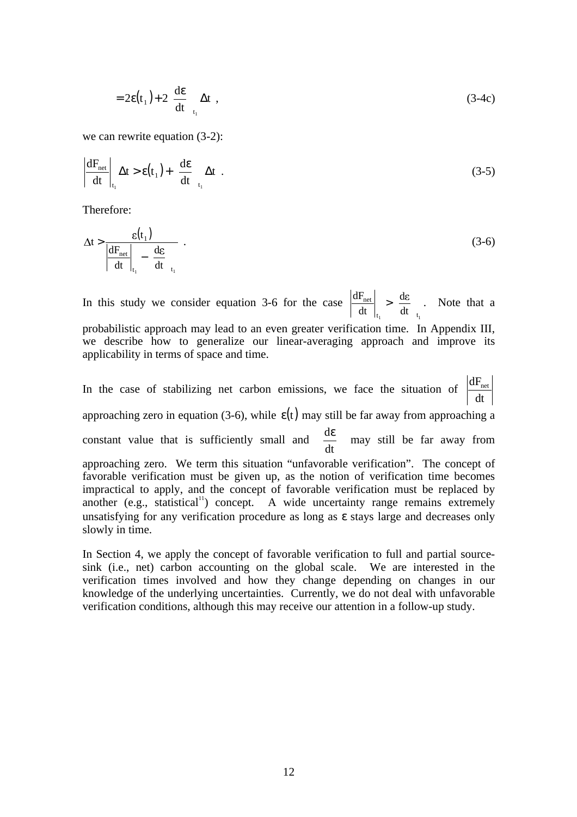$$
=2\varepsilon(t_1)+2\left(\frac{d\varepsilon}{dt}\right)_{t_1}\Delta t\tag{3-4c}
$$

we can rewrite equation (3-2):

$$
\left|\frac{dF_{\text{net}}}{dt}\right|_{t_1} \Delta t > \varepsilon(t_1) + \left(\frac{d\varepsilon}{dt}\right)_{t_1} \Delta t \quad . \tag{3-5}
$$

Therefore:

$$
\Delta t > \frac{\varepsilon(t_1)}{\left| \frac{dF_{\text{net}}}{dt} \right|_{t_1} - \left( \frac{d\varepsilon}{dt} \right)_{t_1}} \tag{3-6}
$$

In this study we consider equation 3-6 for the case  $t_1$  (u)  $t_1$ net dt d  $\frac{dF_{\text{net}}}{dt}\bigg|_{t} > \left(\frac{d\varepsilon}{dt}\right)$  $\overline{1}$  $\left(\frac{d\varepsilon}{dt}\right)^{n}$ l  $>\left(\frac{d\varepsilon}{dt}\right)$ . Note that a

probabilistic approach may lead to an even greater verification time. In Appendix III, we describe how to generalize our linear-averaging approach and improve its applicability in terms of space and time.

In the case of stabilizing net carbon emissions, we face the situation of  $\frac{dF_{net}}{dt}$ approaching zero in equation (3-6), while  $\varepsilon(t)$  may still be far away from approaching a constant value that is sufficiently small and  $\frac{ac}{dx}$  $\big)$  $\left(\frac{d\varepsilon}{dt}\right)$ l ( dε dt  $\frac{d\varepsilon}{dt}$  may still be far away from approaching zero. We term this situation "unfavorable verification". The concept of favorable verification must be given up, as the notion of verification time becomes impractical to apply, and the concept of favorable verification must be replaced by another (e.g., statistical<sup>11</sup>) concept. A wide uncertainty range remains extremely unsatisfying for any verification procedure as long as ε stays large and decreases only slowly in time.

In Section 4, we apply the concept of favorable verification to full and partial sourcesink (i.e., net) carbon accounting on the global scale. We are interested in the verification times involved and how they change depending on changes in our knowledge of the underlying uncertainties. Currently, we do not deal with unfavorable verification conditions, although this may receive our attention in a follow-up study.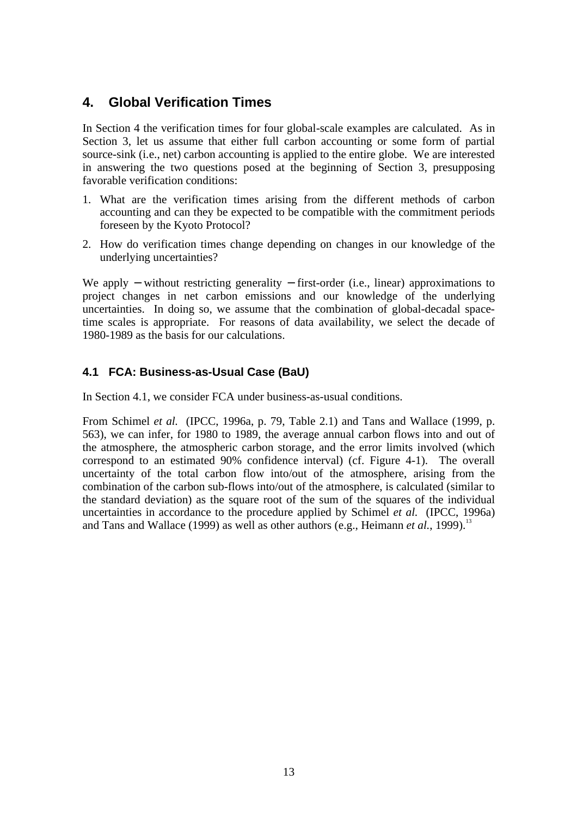# **4. Global Verification Times**

In Section 4 the verification times for four global-scale examples are calculated. As in Section 3, let us assume that either full carbon accounting or some form of partial source-sink (i.e., net) carbon accounting is applied to the entire globe. We are interested in answering the two questions posed at the beginning of Section 3, presupposing favorable verification conditions:

- 1. What are the verification times arising from the different methods of carbon accounting and can they be expected to be compatible with the commitment periods foreseen by the Kyoto Protocol?
- 2. How do verification times change depending on changes in our knowledge of the underlying uncertainties?

We apply – without restricting generality – first-order (i.e., linear) approximations to project changes in net carbon emissions and our knowledge of the underlying uncertainties. In doing so, we assume that the combination of global-decadal spacetime scales is appropriate. For reasons of data availability, we select the decade of 1980-1989 as the basis for our calculations.

### **4.1 FCA: Business-as-Usual Case (BaU)**

In Section 4.1, we consider FCA under business-as-usual conditions.

From Schimel *et al.* (IPCC, 1996a, p. 79, Table 2.1) and Tans and Wallace (1999, p. 563), we can infer, for 1980 to 1989, the average annual carbon flows into and out of the atmosphere, the atmospheric carbon storage, and the error limits involved (which correspond to an estimated 90% confidence interval) (cf. Figure 4-1). The overall uncertainty of the total carbon flow into/out of the atmosphere, arising from the combination of the carbon sub-flows into/out of the atmosphere, is calculated (similar to the standard deviation) as the square root of the sum of the squares of the individual uncertainties in accordance to the procedure applied by Schimel *et al.* (IPCC, 1996a) and Tans and Wallace (1999) as well as other authors (e.g., Heimann *et al.*, 1999).<sup>13</sup>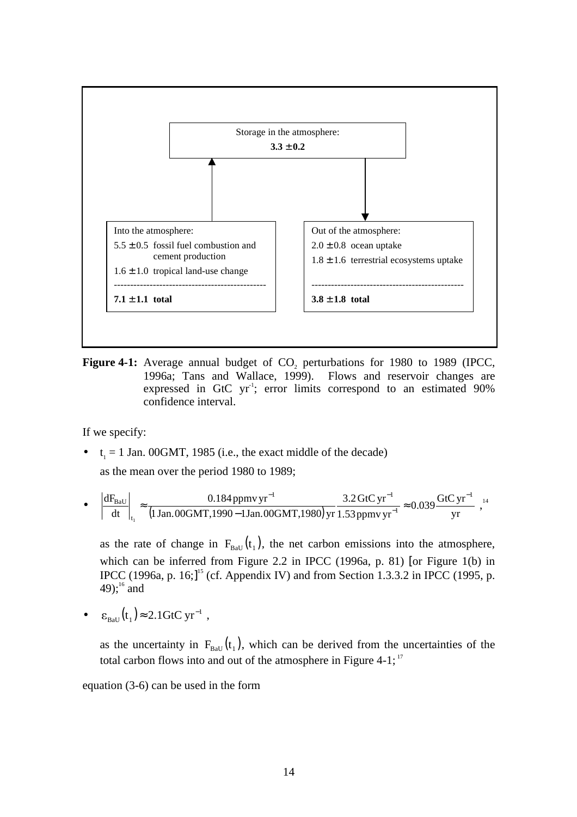

Figure 4-1: Average annual budget of CO<sub>2</sub> perturbations for 1980 to 1989 (IPCC, 1996a; Tans and Wallace, 1999). Flows and reservoir changes are expressed in GtC  $yr^{-1}$ ; error limits correspond to an estimated 90% confidence interval.

If we specify:

•  $t_1 = 1$  Jan. 00GMT, 1985 (i.e., the exact middle of the decade)

as the mean over the period 1980 to 1989;

• 
$$
\left| \frac{dF_{BaU}}{dt} \right|_{t_1} \approx \frac{0.184 \text{ ppmv yr}^{-1}}{(1 \text{ Jan.}00 \text{GMT}, 1990 - 1 \text{Jan.}00 \text{GMT}, 1980) \text{ yr}} \frac{3.2 \text{ GtC yr}^{-1}}{1.53 \text{ ppmv yr}^{-1}} \approx 0.039 \frac{\text{GtC yr}^{-1}}{\text{yr}}
$$
,<sup>14</sup>

as the rate of change in  $F_{BaU}(t_1)$ , the net carbon emissions into the atmosphere, which can be inferred from Figure 2.2 in IPCC (1996a, p. 81) [or Figure 1(b) in IPCC (1996a, p. 16;]<sup>15</sup> (cf. Appendix IV) and from Section 1.3.3.2 in IPCC (1995, p. 49); $^{16}$  and

•  $\varepsilon_{\text{BaU}}(t_1) \approx 2.1 \text{GtC yr}^{-1}$ ,

as the uncertainty in  $F_{\text{Bau}}(t_1)$ , which can be derived from the uncertainties of the total carbon flows into and out of the atmosphere in Figure 4-1;<sup>17</sup>

equation (3-6) can be used in the form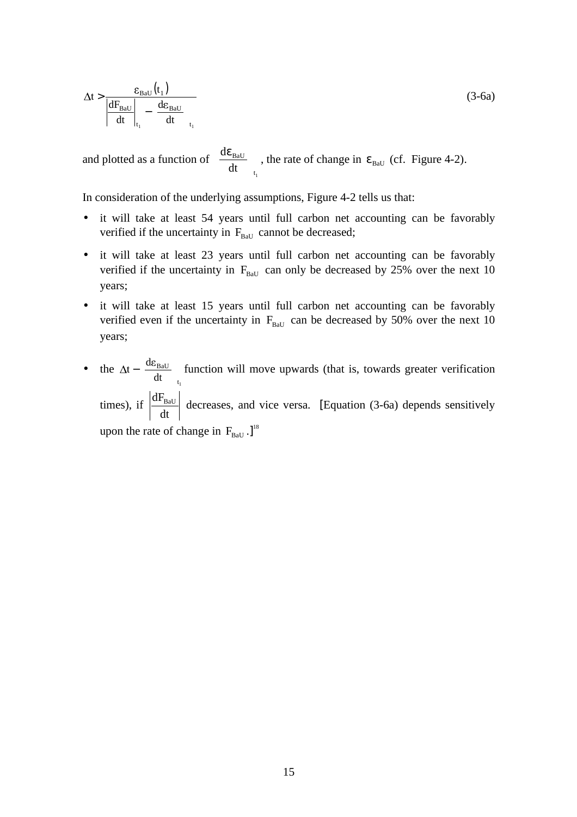$$
\Delta t > \frac{\varepsilon_{\text{Bau}}(t_1)}{\left| \frac{dF_{\text{Bau}}}{dt} \right|_{t_1} - \left( \frac{d\varepsilon_{\text{Bau}}}{dt} \right)_{t_1}}
$$
(3-6a)

and plotted as a function of  $t_1$ BaU dt  $\frac{d\varepsilon_{\rm BaU}}{d\varepsilon_{\rm BaU}}$  $\overline{\phantom{a}}$  $\frac{d\varepsilon_{\rm BaU}}{d\varepsilon_{\rm BaU}}$ l  $\left(\frac{d\varepsilon_{\text{Bau}}}{dt}\right)$ , the rate of change in  $\varepsilon_{\text{Bau}}$  (cf. Figure 4-2).

In consideration of the underlying assumptions, Figure 4-2 tells us that:

- it will take at least 54 years until full carbon net accounting can be favorably verified if the uncertainty in  $F_{\text{Ball}}$  cannot be decreased;
- it will take at least 23 years until full carbon net accounting can be favorably verified if the uncertainty in  $F_{\text{Ball}}$  can only be decreased by 25% over the next 10 years;
- it will take at least 15 years until full carbon net accounting can be favorably verified even if the uncertainty in  $F_{\text{Ball}}$  can be decreased by 50% over the next 10 years;
- the  $t_1$ BaU dt  $t - \left(\frac{d\varepsilon_{\rm BaU}}{dt}\right)^2$  $\overline{1}$  $\frac{d\varepsilon_{\rm BaU}}{d\varepsilon_{\rm BaU}}$ l  $-\left(\frac{d\varepsilon_{\text{BaU}}}{dt}\right)$  function will move upwards (that is, towards greater verification times), if  $\frac{dF_{BaU}}{dt}$  decreases, and vice versa. [Equation (3-6a) depends sensitively upon the rate of change in  $F_{\text{BaU}}$ .]<sup>18</sup>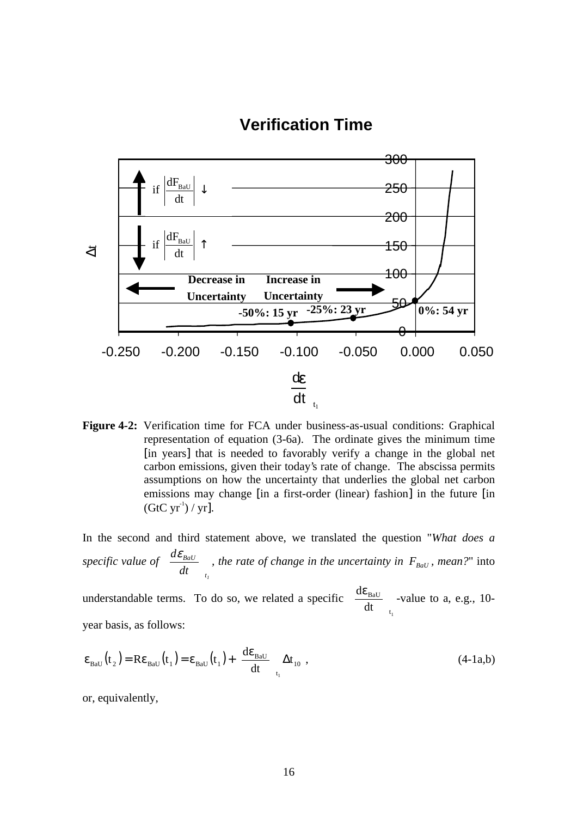# **Verification Time**



**Figure 4-2:** Verification time for FCA under business-as-usual conditions: Graphical representation of equation (3-6a). The ordinate gives the minimum time [in years] that is needed to favorably verify a change in the global net carbon emissions, given their today's rate of change. The abscissa permits assumptions on how the uncertainty that underlies the global net carbon emissions may change [in a first-order (linear) fashion] in the future [in  $(GtC yr<sup>-1</sup>)/yr$ ].

In the second and third statement above, we translated the question "*What does a specific value of 1t BaU dt*  $\frac{d\varepsilon_{\textit{BaU}}}{dt}$  $\overline{1}$  $\frac{d\mathcal{E}_{BdU}}{d\mathcal{E}_{BdU}}$ l  $\left(\frac{d\varepsilon_{BaU}}{l}\right)$ , the rate of change in the uncertainty in  $F_{BaU}$ , mean?" into

understandable terms. To do so, we related a specific  $t_1$ BaU dt  $\frac{d\varepsilon_{\text{\tiny{BaU}}}}{1}$  $\overline{1}$  $\frac{d\varepsilon_{\text{Bau}}}{dt}$ l  $\left(\frac{d\varepsilon_{\text{BaU}}}{dt}\right)$  -value to a, e.g., 10year basis, as follows:

$$
\varepsilon_{\text{Bau}}(t_2) = \text{Re}_{\text{Bau}}(t_1) = \varepsilon_{\text{Bau}}(t_1) + \left(\frac{d\varepsilon_{\text{Bau}}}{dt}\right)_{t_1} \Delta t_{10} , \qquad (4-1a,b)
$$

or, equivalently,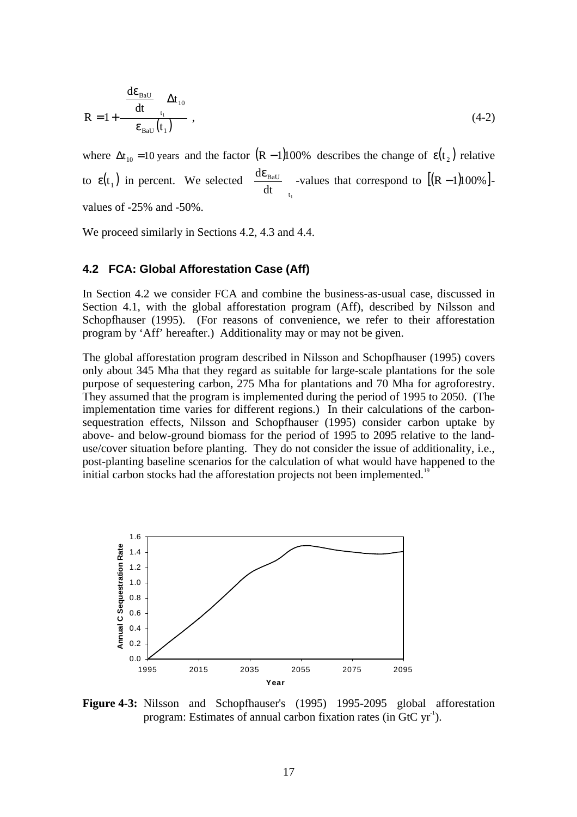$$
R = 1 + \frac{\left(\frac{d\varepsilon_{\text{Bau}}}{dt}\right) \Delta t_{10}}{\varepsilon_{\text{Bau}}(t_1)}, \qquad (4-2)
$$

where  $\Delta t_{10} = 10$  years and the factor  $(R - 1)$ 100% describes the change of  $\epsilon(t_2)$  relative to  $\epsilon(t_1)$  in percent. We selected  $t_1$ BaU dt  $\frac{d\varepsilon_{\text{\tiny{BaU}}}}{d}$  $\overline{1}$  $\frac{d\varepsilon_{\text{Bau}}}{dt}$ l  $\left(\frac{d\varepsilon_{\text{BaU}}}{d\varepsilon}\right)$  -values that correspond to  $[(R-1)100\%]$ values of -25% and -50%.

We proceed similarly in Sections 4.2, 4.3 and 4.4.

#### **4.2 FCA: Global Afforestation Case (Aff)**

In Section 4.2 we consider FCA and combine the business-as-usual case, discussed in Section 4.1, with the global afforestation program (Aff), described by Nilsson and Schopfhauser (1995). (For reasons of convenience, we refer to their afforestation program by 'Aff' hereafter.) Additionality may or may not be given.

The global afforestation program described in Nilsson and Schopfhauser (1995) covers only about 345 Mha that they regard as suitable for large-scale plantations for the sole purpose of sequestering carbon, 275 Mha for plantations and 70 Mha for agroforestry. They assumed that the program is implemented during the period of 1995 to 2050. (The implementation time varies for different regions.) In their calculations of the carbonsequestration effects, Nilsson and Schopfhauser (1995) consider carbon uptake by above- and below-ground biomass for the period of 1995 to 2095 relative to the landuse/cover situation before planting. They do not consider the issue of additionality, i.e., post-planting baseline scenarios for the calculation of what would have happened to the initial carbon stocks had the afforestation projects not been implemented.<sup>19</sup>



**Figure 4-3:** Nilsson and Schopfhauser's (1995) 1995-2095 global afforestation program: Estimates of annual carbon fixation rates (in GtC  $yr<sup>-1</sup>$ ).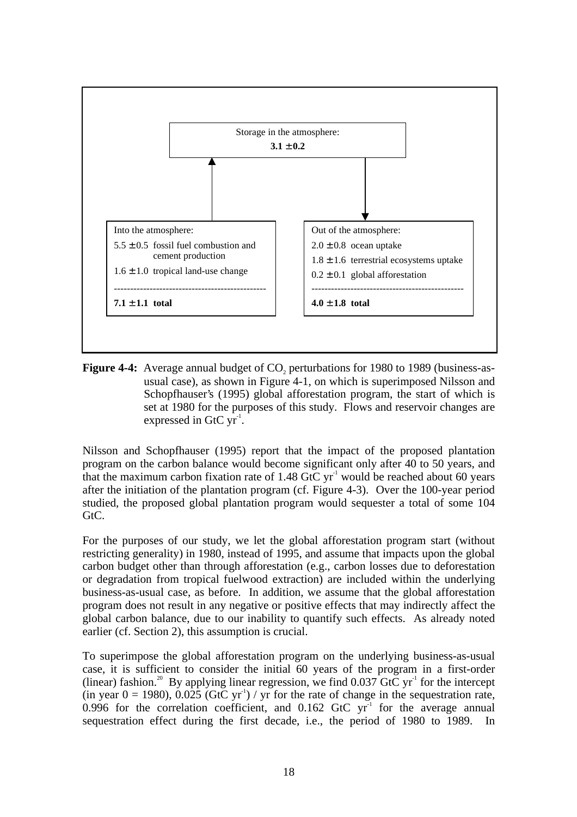

**Figure 4-4:** Average annual budget of CO<sub>2</sub> perturbations for 1980 to 1989 (business-asusual case), as shown in Figure 4-1, on which is superimposed Nilsson and Schopfhauser's (1995) global afforestation program, the start of which is set at 1980 for the purposes of this study. Flows and reservoir changes are expressed in GtC  $yr<sup>-1</sup>$ .

Nilsson and Schopfhauser (1995) report that the impact of the proposed plantation program on the carbon balance would become significant only after 40 to 50 years, and that the maximum carbon fixation rate of  $1.48$  GtC yr<sup>-1</sup> would be reached about 60 years after the initiation of the plantation program (cf. Figure 4-3). Over the 100-year period studied, the proposed global plantation program would sequester a total of some 104 GtC.

For the purposes of our study, we let the global afforestation program start (without restricting generality) in 1980, instead of 1995, and assume that impacts upon the global carbon budget other than through afforestation (e.g., carbon losses due to deforestation or degradation from tropical fuelwood extraction) are included within the underlying business-as-usual case, as before. In addition, we assume that the global afforestation program does not result in any negative or positive effects that may indirectly affect the global carbon balance, due to our inability to quantify such effects. As already noted earlier (cf. Section 2), this assumption is crucial.

To superimpose the global afforestation program on the underlying business-as-usual case, it is sufficient to consider the initial 60 years of the program in a first-order (linear) fashion.<sup>20</sup> By applying linear regression, we find  $0.037 \,\text{GtC}$  yr<sup>-1</sup> for the intercept (in year  $0 = 1980$ ), 0.025 (GtC yr<sup>1</sup>) / yr for the rate of change in the sequestration rate, 0.996 for the correlation coefficient, and 0.162 GtC  $yr<sup>-1</sup>$  for the average annual sequestration effect during the first decade, i.e., the period of 1980 to 1989. In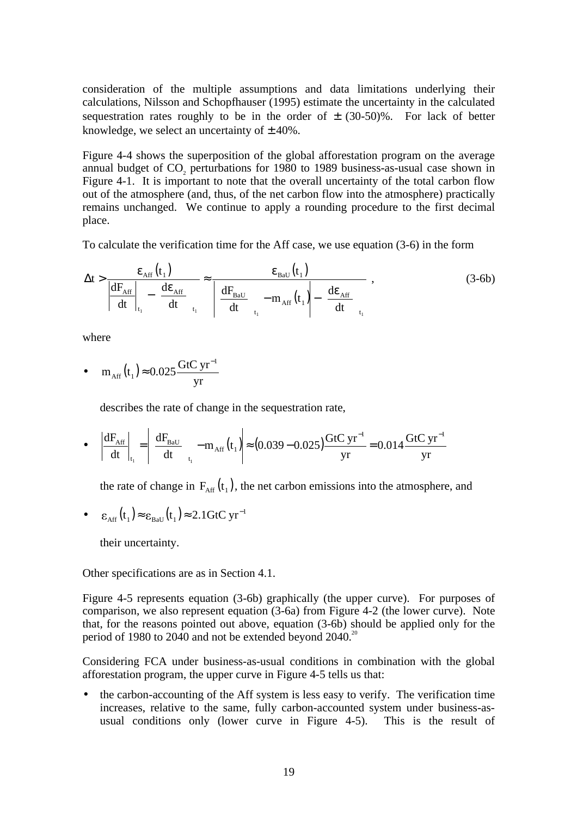consideration of the multiple assumptions and data limitations underlying their calculations, Nilsson and Schopfhauser (1995) estimate the uncertainty in the calculated sequestration rates roughly to be in the order of  $\pm$  (30-50)%. For lack of better knowledge, we select an uncertainty of  $\pm$  40%.

Figure 4-4 shows the superposition of the global afforestation program on the average annual budget of CO<sub>2</sub> perturbations for 1980 to 1989 business-as-usual case shown in Figure 4-1. It is important to note that the overall uncertainty of the total carbon flow out of the atmosphere (and, thus, of the net carbon flow into the atmosphere) practically remains unchanged. We continue to apply a rounding procedure to the first decimal place.

To calculate the verification time for the Aff case, we use equation (3-6) in the form

$$
\Delta t > \frac{\varepsilon_{\text{Aff}}(t_1)}{\left| \frac{dF_{\text{Aff}}}{dt} \right|_{t_1} - \left( \frac{d\varepsilon_{\text{Aff}}}{dt} \right)_{t_1}} \approx \frac{\varepsilon_{\text{BaU}}(t_1)}{\left| \frac{dF_{\text{BaU}}}{dt} \right|_{t_1} - m_{\text{Aff}}(t_1)} - \left( \frac{d\varepsilon_{\text{Aff}}}{dt} \right)_{t_1}, \tag{3-6b}
$$

where

• 
$$
m_{\text{Aff}}(t_1) \approx 0.025 \frac{\text{GtC yr}^{-1}}{\text{yr}}
$$

describes the rate of change in the sequestration rate,

• 
$$
\left| \frac{dF_{\text{Aff}}}{dt} \right|_{t_1} = \left| \left( \frac{dF_{\text{BaU}}}{dt} \right)_{t_1} - m_{\text{Aff}}(t_1) \right| \approx (0.039 - 0.025) \frac{\text{GtC yr}^{-1}}{yr} = 0.014 \frac{\text{GtC yr}^{-1}}{yr}
$$

the rate of change in  $F_{\text{Aff}}(t_1)$ , the net carbon emissions into the atmosphere, and

• 
$$
\varepsilon_{\text{Aff}}(t_1) \approx \varepsilon_{\text{Bau}}(t_1) \approx 2.1 \text{GtC yr}^{-1}
$$

their uncertainty.

Other specifications are as in Section 4.1.

Figure 4-5 represents equation (3-6b) graphically (the upper curve). For purposes of comparison, we also represent equation (3-6a) from Figure 4-2 (the lower curve). Note that, for the reasons pointed out above, equation (3-6b) should be applied only for the period of 1980 to 2040 and not be extended beyond  $2040^{20}$ 

Considering FCA under business-as-usual conditions in combination with the global afforestation program, the upper curve in Figure 4-5 tells us that:

• the carbon-accounting of the Aff system is less easy to verify. The verification time increases, relative to the same, fully carbon-accounted system under business-asusual conditions only (lower curve in Figure 4-5). This is the result of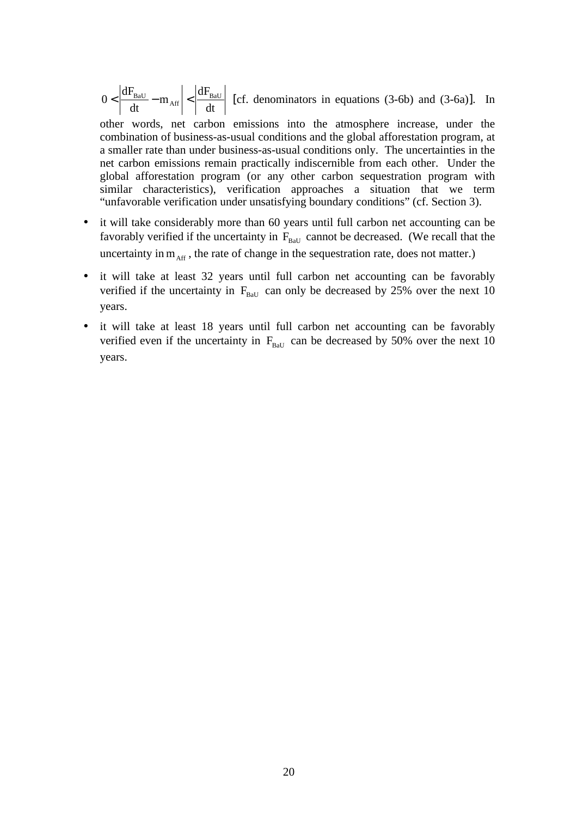dt  $m_{\text{Aff}}$  <  $\frac{dF}{dt}$ dt  $0 < \left| \frac{dF_{BaU}}{dt} - m_{\text{Aff}} \right| < \left| \frac{dF_{BaU}}{dt} \right|$  [cf. denominators in equations (3-6b) and (3-6a)]. In

other words, net carbon emissions into the atmosphere increase, under the combination of business-as-usual conditions and the global afforestation program, at a smaller rate than under business-as-usual conditions only. The uncertainties in the net carbon emissions remain practically indiscernible from each other. Under the global afforestation program (or any other carbon sequestration program with similar characteristics), verification approaches a situation that we term "unfavorable verification under unsatisfying boundary conditions" (cf. Section 3).

- it will take considerably more than 60 years until full carbon net accounting can be favorably verified if the uncertainty in  $F_{\text{Bau}}$  cannot be decreased. (We recall that the uncertainty in  $m_{\text{Aff}}$ , the rate of change in the sequestration rate, does not matter.)
- it will take at least 32 years until full carbon net accounting can be favorably verified if the uncertainty in  $F_{\text{Ball}}$  can only be decreased by 25% over the next 10 years.
- it will take at least 18 years until full carbon net accounting can be favorably verified even if the uncertainty in  $F_{\text{BaU}}$  can be decreased by 50% over the next 10 years.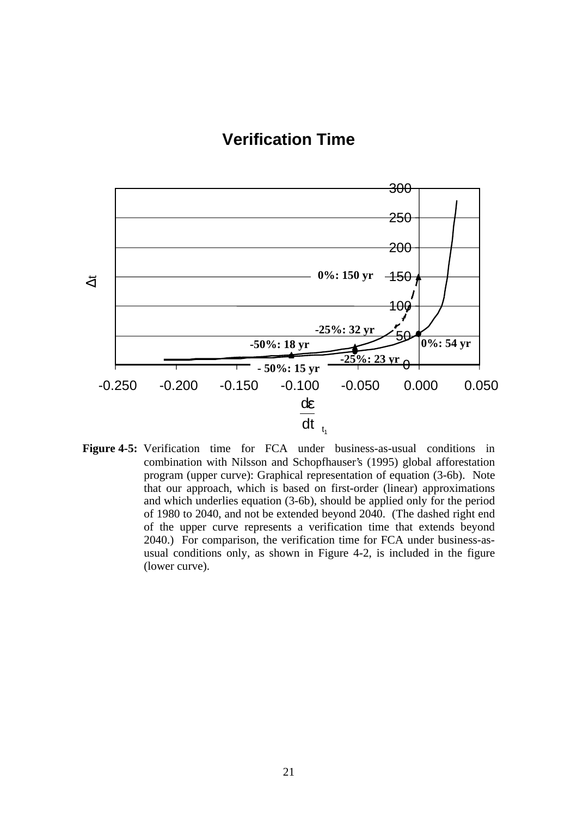# **Verification Time**



**Figure 4-5:** Verification time for FCA under business-as-usual conditions in combination with Nilsson and Schopfhauser's (1995) global afforestation program (upper curve): Graphical representation of equation (3-6b). Note that our approach, which is based on first-order (linear) approximations and which underlies equation (3-6b), should be applied only for the period of 1980 to 2040, and not be extended beyond 2040. (The dashed right end of the upper curve represents a verification time that extends beyond 2040.) For comparison, the verification time for FCA under business-asusual conditions only, as shown in Figure 4-2, is included in the figure (lower curve).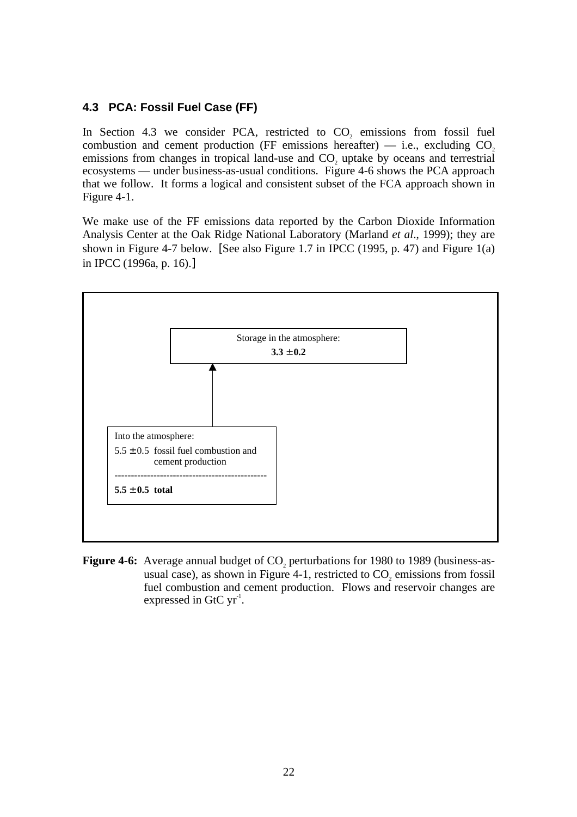### **4.3 PCA: Fossil Fuel Case (FF)**

In Section 4.3 we consider PCA, restricted to  $CO<sub>2</sub>$  emissions from fossil fuel combustion and cement production (FF emissions hereafter)  $-$  i.e., excluding CO<sub>2</sub> emissions from changes in tropical land-use and  $CO<sub>2</sub>$  uptake by oceans and terrestrial ecosystems — under business-as-usual conditions. Figure 4-6 shows the PCA approach that we follow. It forms a logical and consistent subset of the FCA approach shown in Figure 4-1.

We make use of the FF emissions data reported by the Carbon Dioxide Information Analysis Center at the Oak Ridge National Laboratory (Marland *et al*., 1999); they are shown in Figure 4-7 below. [See also Figure 1.7 in IPCC (1995, p. 47) and Figure  $1(a)$ in IPCC (1996a, p. 16).]



**Figure 4-6:** Average annual budget of CO<sub>2</sub> perturbations for 1980 to 1989 (business-asusual case), as shown in Figure  $4-1$ , restricted to  $CO<sub>z</sub>$  emissions from fossil fuel combustion and cement production. Flows and reservoir changes are expressed in GtC  $yr<sup>-1</sup>$ .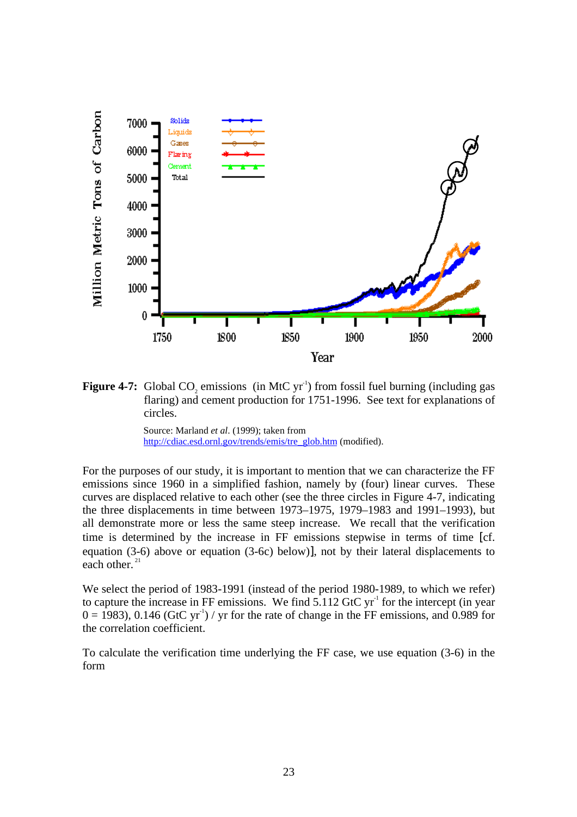

**Figure 4-7:** Global CO<sub>2</sub> emissions (in MtC yr<sup>-1</sup>) from fossil fuel burning (including gas flaring) and cement production for 1751-1996. See text for explanations of circles.

Source: Marland *et al*. (1999); taken from http://cdiac.esd.ornl.gov/trends/emis/tre\_glob.htm (modified).

For the purposes of our study, it is important to mention that we can characterize the FF emissions since 1960 in a simplified fashion, namely by (four) linear curves. These curves are displaced relative to each other (see the three circles in Figure 4-7, indicating the three displacements in time between 1973–1975, 1979–1983 and 1991–1993), but all demonstrate more or less the same steep increase. We recall that the verification time is determined by the increase in FF emissions stepwise in terms of time [cf. equation (3-6) above or equation (3-6c) below)], not by their lateral displacements to each other. $^{21}$ 

We select the period of 1983-1991 (instead of the period 1980-1989, to which we refer) to capture the increase in FF emissions. We find  $5.112$  GtC yr<sup>-1</sup> for the intercept (in year  $0 = 1983$ , 0.146 (GtC yr<sup>-1</sup>) / yr for the rate of change in the FF emissions, and 0.989 for the correlation coefficient.

To calculate the verification time underlying the FF case, we use equation (3-6) in the form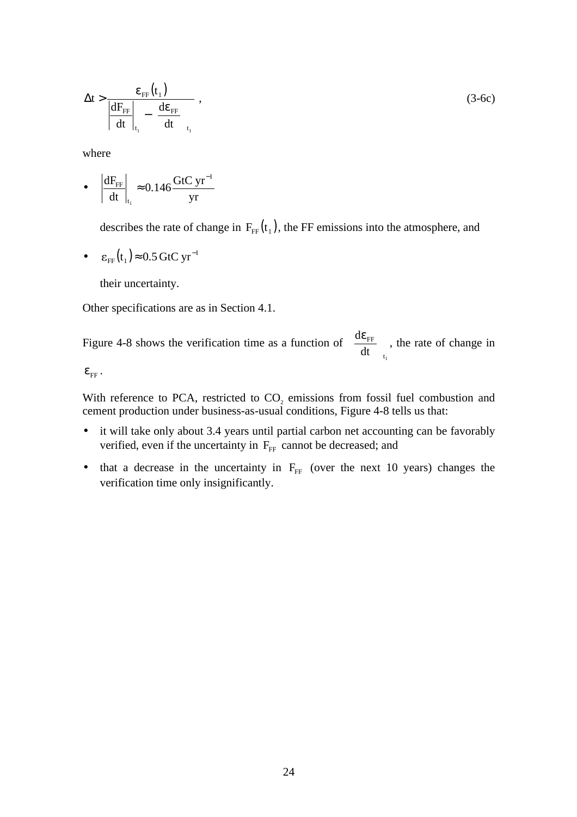$$
\Delta t > \frac{\varepsilon_{\text{FF}}(t_1)}{\left| \frac{dF_{\text{FF}}}{dt} \right|_{t_1} - \left( \frac{d\varepsilon_{\text{FF}}}{dt} \right)_{t_1}},
$$
\n(3-6c)

where

• 
$$
\left| \frac{dF_{FF}}{dt} \right|_{t_1} \approx 0.146 \frac{GtC yr^{-1}}{yr}
$$

describes the rate of change in  $F_{FF}(t_1)$ , the FF emissions into the atmosphere, and

•  $\varepsilon_{\text{FF}}(t_1) \approx 0.5 \text{ GtC yr}^{-1}$ 

their uncertainty.

Other specifications are as in Section 4.1.

Figure 4-8 shows the verification time as a function of  $t_1$ FF dt  $\frac{d\varepsilon_{\text{FF}}}{dt}$  $\bigg)$  $\frac{d\varepsilon_{\text{FF}}}{dt}$ l  $\left(\frac{d\varepsilon_{FF}}{d\varepsilon_{FF}}\right)$ , the rate of change in

 $\mathcal{E}_{FF}$ .

With reference to PCA, restricted to CO<sub>2</sub> emissions from fossil fuel combustion and cement production under business-as-usual conditions, Figure 4-8 tells us that:

- it will take only about 3.4 years until partial carbon net accounting can be favorably verified, even if the uncertainty in  $F_{\text{FF}}$  cannot be decreased; and
- that a decrease in the uncertainty in  $F_{FF}$  (over the next 10 years) changes the verification time only insignificantly.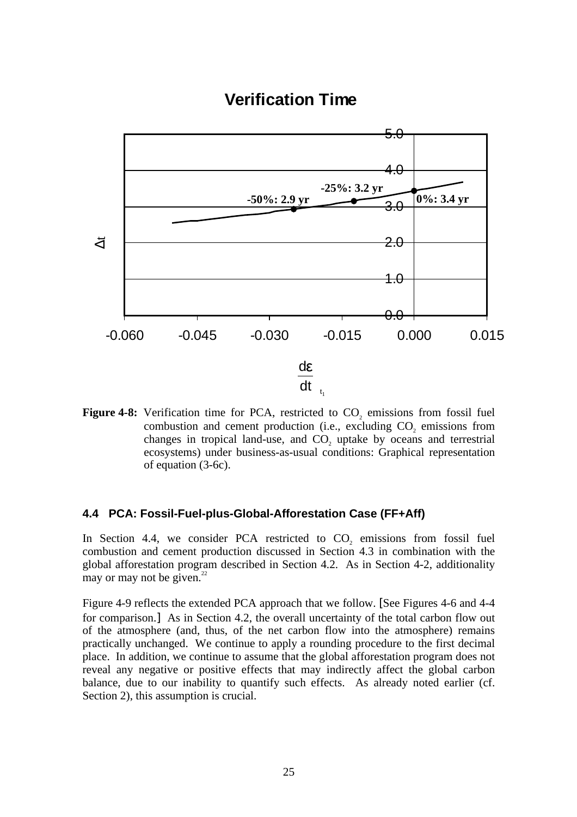# **Verification Time**



**Figure 4-8:** Verification time for PCA, restricted to  $CO<sub>2</sub>$  emissions from fossil fuel combustion and cement production (i.e., excluding CO<sub>2</sub> emissions from changes in tropical land-use, and CO<sub>2</sub> uptake by oceans and terrestrial ecosystems) under business-as-usual conditions: Graphical representation of equation (3-6c).

#### **4.4 PCA: Fossil-Fuel-plus-Global-Afforestation Case (FF+Aff)**

In Section 4.4, we consider PCA restricted to  $CO<sub>2</sub>$  emissions from fossil fuel combustion and cement production discussed in Section 4.3 in combination with the global afforestation program described in Section 4.2. As in Section 4-2, additionality may or may not be given. $22$ 

Figure 4-9 reflects the extended PCA approach that we follow. [See Figures 4-6 and 4-4 for comparison.] As in Section 4.2, the overall uncertainty of the total carbon flow out of the atmosphere (and, thus, of the net carbon flow into the atmosphere) remains practically unchanged. We continue to apply a rounding procedure to the first decimal place. In addition, we continue to assume that the global afforestation program does not reveal any negative or positive effects that may indirectly affect the global carbon balance, due to our inability to quantify such effects. As already noted earlier (cf. Section 2), this assumption is crucial.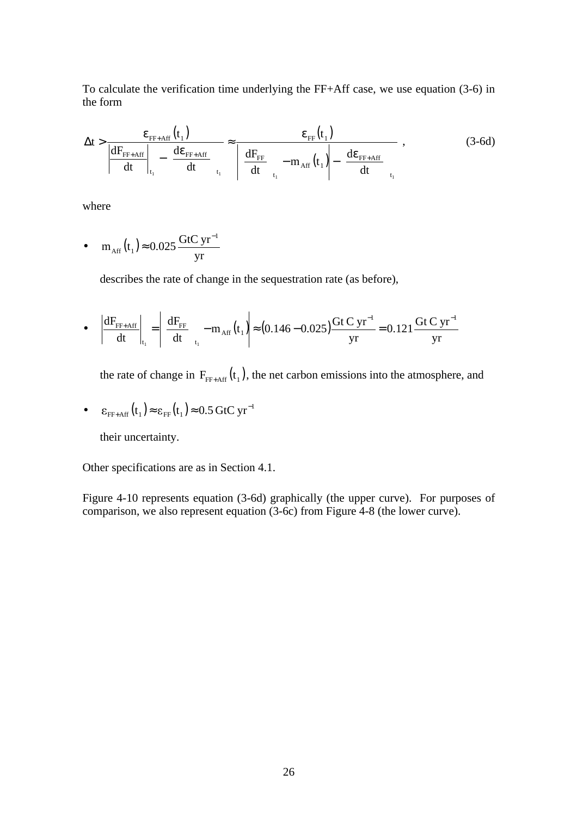To calculate the verification time underlying the FF+Aff case, we use equation (3-6) in the form

$$
\Delta t > \frac{\varepsilon_{\text{FF+Aff}}(t_1)}{dF_{\text{FF+Aff}}}\n_{t_1}\n-\n\left(\frac{d\varepsilon_{\text{FF+Aff}}}{dt}\right)_{t_1}\n\approx\n\frac{\varepsilon_{\text{FF}}(t_1)}{dF_{\text{FF}}}\n- m_{\text{Aff}}(t_1)\n-\n\left(\frac{d\varepsilon_{\text{FF+Aff}}}{dt}\right)_{t_1},
$$
\n(3-6d)

where

• 
$$
m_{\text{Aff}}(t_1) \approx 0.025 \frac{\text{GtC yr}^{-1}}{\text{yr}}
$$

describes the rate of change in the sequestration rate (as before),

• 
$$
\left| \frac{dF_{FF+Aff}}{dt} \right|_{t_1} = \left| \left( \frac{dF_{FF}}{dt} \right)_{t_1} - m_{Aff}(t_1) \right| \approx (0.146 - 0.025) \frac{Gt C yr^{-1}}{yr} = 0.121 \frac{Gt C yr^{-1}}{yr}
$$

the rate of change in  $F_{FF+Aff} (t_1)$ , the net carbon emissions into the atmosphere, and

• 
$$
\varepsilon_{\text{FF+Aff}}(t_1) \approx \varepsilon_{\text{FF}}(t_1) \approx 0.5 \text{ GtC yr}^{-1}
$$

their uncertainty.

Other specifications are as in Section 4.1.

Figure 4-10 represents equation (3-6d) graphically (the upper curve). For purposes of comparison, we also represent equation (3-6c) from Figure 4-8 (the lower curve).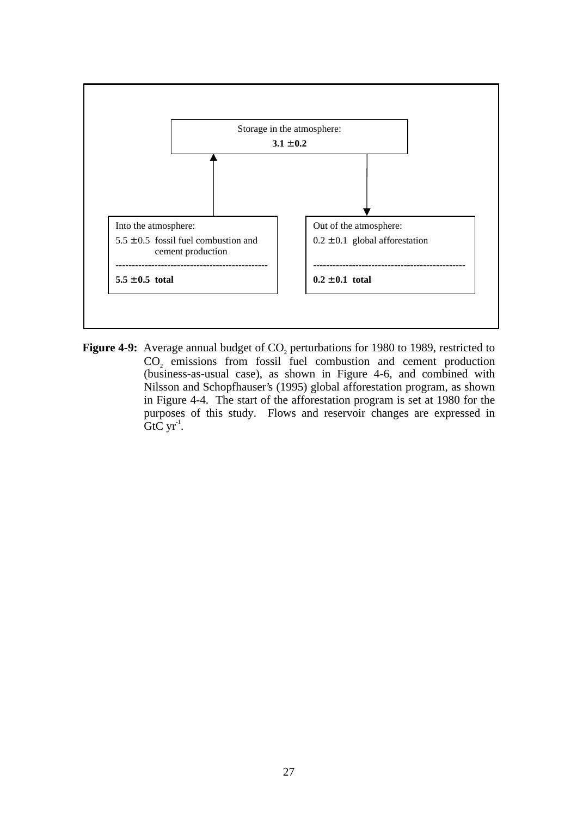

**Figure 4-9:** Average annual budget of CO<sub>2</sub> perturbations for 1980 to 1989, restricted to  $CO<sub>2</sub>$  emissions from fossil fuel combustion and cement production (business-as-usual case), as shown in Figure 4-6, and combined with Nilsson and Schopfhauser's (1995) global afforestation program, as shown in Figure 4-4. The start of the afforestation program is set at 1980 for the purposes of this study. Flows and reservoir changes are expressed in  $GtC yr^1$ .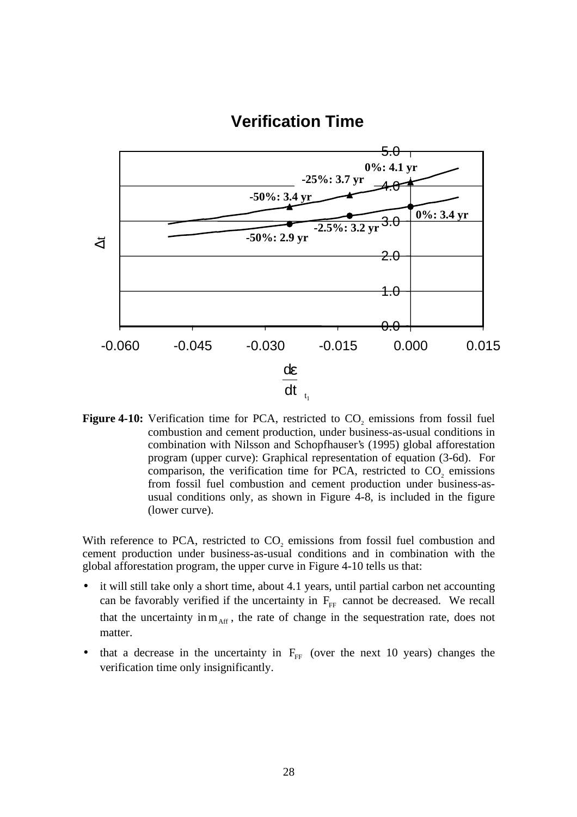# **Verification Time**



**Figure 4-10:** Verification time for PCA, restricted to  $CO<sub>2</sub>$  emissions from fossil fuel combustion and cement production, under business-as-usual conditions in combination with Nilsson and Schopfhauser's (1995) global afforestation program (upper curve): Graphical representation of equation (3-6d). For comparison, the verification time for PCA, restricted to  $CO<sub>2</sub>$  emissions from fossil fuel combustion and cement production under business-asusual conditions only, as shown in Figure 4-8, is included in the figure (lower curve).

With reference to PCA, restricted to  $CO<sub>2</sub>$  emissions from fossil fuel combustion and cement production under business-as-usual conditions and in combination with the global afforestation program, the upper curve in Figure 4-10 tells us that:

- it will still take only a short time, about 4.1 years, until partial carbon net accounting can be favorably verified if the uncertainty in  $F_{FF}$  cannot be decreased. We recall that the uncertainty in  $m_{\text{Aff}}$ , the rate of change in the sequestration rate, does not matter.
- that a decrease in the uncertainty in  $F_{FF}$  (over the next 10 years) changes the verification time only insignificantly.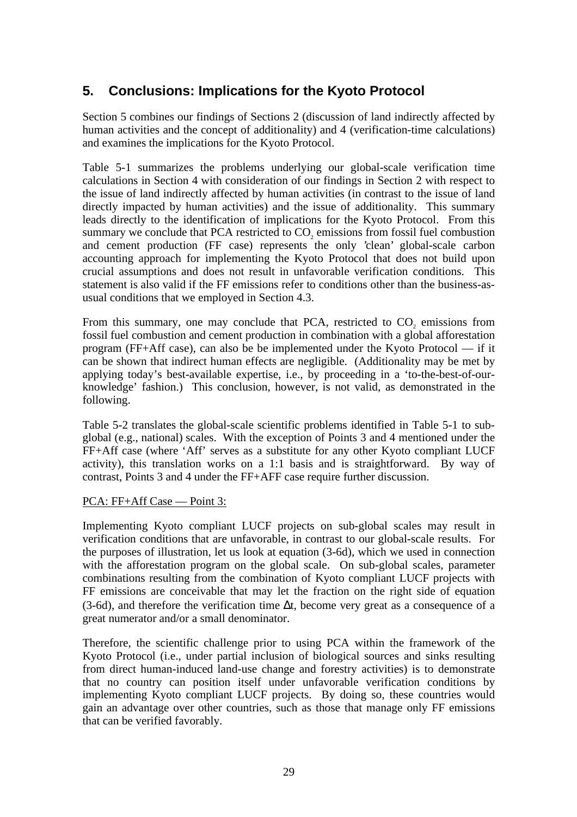# **5. Conclusions: Implications for the Kyoto Protocol**

Section 5 combines our findings of Sections 2 (discussion of land indirectly affected by human activities and the concept of additionality) and 4 (verification-time calculations) and examines the implications for the Kyoto Protocol.

Table 5-1 summarizes the problems underlying our global-scale verification time calculations in Section 4 with consideration of our findings in Section 2 with respect to the issue of land indirectly affected by human activities (in contrast to the issue of land directly impacted by human activities) and the issue of additionality. This summary leads directly to the identification of implications for the Kyoto Protocol. From this summary we conclude that PCA restricted to CO<sub>2</sub> emissions from fossil fuel combustion and cement production (FF case) represents the only 'clean' global-scale carbon accounting approach for implementing the Kyoto Protocol that does not build upon crucial assumptions and does not result in unfavorable verification conditions. This statement is also valid if the FF emissions refer to conditions other than the business-asusual conditions that we employed in Section 4.3.

From this summary, one may conclude that PCA, restricted to  $CO<sub>2</sub>$  emissions from fossil fuel combustion and cement production in combination with a global afforestation program (FF+Aff case), can also be be implemented under the Kyoto Protocol — if it can be shown that indirect human effects are negligible. (Additionality may be met by applying today's best-available expertise, i.e., by proceeding in a 'to-the-best-of-ourknowledge' fashion.) This conclusion, however, is not valid, as demonstrated in the following.

Table 5-2 translates the global-scale scientific problems identified in Table 5-1 to subglobal (e.g., national) scales. With the exception of Points 3 and 4 mentioned under the FF+Aff case (where 'Aff' serves as a substitute for any other Kyoto compliant LUCF activity), this translation works on a 1:1 basis and is straightforward. By way of contrast, Points 3 and 4 under the FF+AFF case require further discussion.

### PCA: FF+Aff Case — Point 3:

Implementing Kyoto compliant LUCF projects on sub-global scales may result in verification conditions that are unfavorable, in contrast to our global-scale results. For the purposes of illustration, let us look at equation (3-6d), which we used in connection with the afforestation program on the global scale. On sub-global scales, parameter combinations resulting from the combination of Kyoto compliant LUCF projects with FF emissions are conceivable that may let the fraction on the right side of equation (3-6d), and therefore the verification time ∆t, become very great as a consequence of a great numerator and/or a small denominator.

Therefore, the scientific challenge prior to using PCA within the framework of the Kyoto Protocol (i.e., under partial inclusion of biological sources and sinks resulting from direct human-induced land-use change and forestry activities) is to demonstrate that no country can position itself under unfavorable verification conditions by implementing Kyoto compliant LUCF projects. By doing so, these countries would gain an advantage over other countries, such as those that manage only FF emissions that can be verified favorably.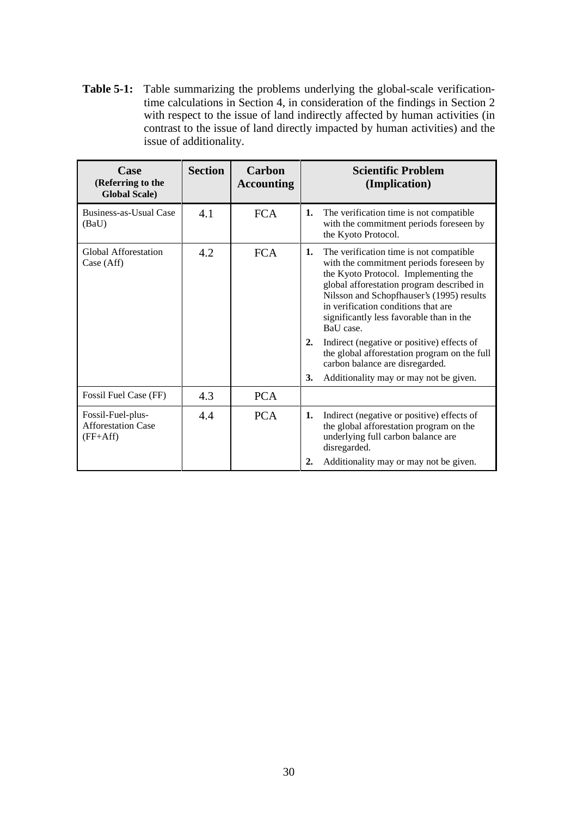**Table 5-1:** Table summarizing the problems underlying the global-scale verificationtime calculations in Section 4, in consideration of the findings in Section 2 with respect to the issue of land indirectly affected by human activities (in contrast to the issue of land directly impacted by human activities) and the issue of additionality.

| Case<br>(Referring to the<br><b>Global Scale</b> )           | <b>Section</b>    | Carbon<br><b>Accounting</b> |          | <b>Scientific Problem</b><br>(Implication)                                                                                                                                                                                                                                                                           |
|--------------------------------------------------------------|-------------------|-----------------------------|----------|----------------------------------------------------------------------------------------------------------------------------------------------------------------------------------------------------------------------------------------------------------------------------------------------------------------------|
| Business-as-Usual Case<br>(BaU)                              | 4.1               | <b>FCA</b>                  | 1.       | The verification time is not compatible<br>with the commitment periods foreseen by<br>the Kyoto Protocol.                                                                                                                                                                                                            |
| Global Afforestation<br>Case (Aff)                           | 4.2<br><b>FCA</b> |                             | 1.       | The verification time is not compatible<br>with the commitment periods foreseen by<br>the Kyoto Protocol. Implementing the<br>global afforestation program described in<br>Nilsson and Schopfhauser's (1995) results<br>in verification conditions that are<br>significantly less favorable than in the<br>BaU case. |
|                                                              |                   |                             | 2.       | Indirect (negative or positive) effects of<br>the global afforestation program on the full<br>carbon balance are disregarded.                                                                                                                                                                                        |
|                                                              |                   |                             | 3.       | Additionality may or may not be given.                                                                                                                                                                                                                                                                               |
| Fossil Fuel Case (FF)                                        | 4.3               | <b>PCA</b>                  |          |                                                                                                                                                                                                                                                                                                                      |
| Fossil-Fuel-plus-<br><b>Afforestation Case</b><br>$(FF+Aff)$ | 4.4               | <b>PCA</b>                  | 1.<br>2. | Indirect (negative or positive) effects of<br>the global afforestation program on the<br>underlying full carbon balance are<br>disregarded.<br>Additionality may or may not be given.                                                                                                                                |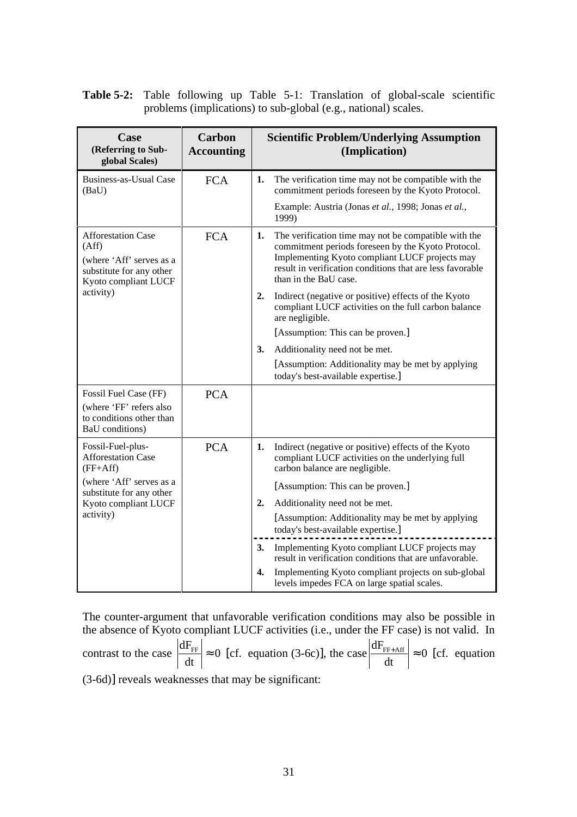**Table 5-2:** Table following up Table 5-1: Translation of global-scale scientific problems (implications) to sub-global (e.g., national) scales.

| Case<br>(Referring to Sub-<br>global Scales)                                                                       | <b>Carbon</b><br><b>Accounting</b> | <b>Scientific Problem/Underlying Assumption</b><br>(Implication)                                                                                                                                                                                         |  |
|--------------------------------------------------------------------------------------------------------------------|------------------------------------|----------------------------------------------------------------------------------------------------------------------------------------------------------------------------------------------------------------------------------------------------------|--|
| <b>Business-as-Usual Case</b><br>(BaU)                                                                             | <b>FCA</b>                         | The verification time may not be compatible with the<br>1.<br>commitment periods foreseen by the Kyoto Protocol.                                                                                                                                         |  |
|                                                                                                                    |                                    | Example: Austria (Jonas et al., 1998; Jonas et al.,<br>1999)                                                                                                                                                                                             |  |
| <b>Afforestation Case</b><br>(Aff)<br>(where 'Aff' serves as a<br>substitute for any other<br>Kyoto compliant LUCF | <b>FCA</b>                         | The verification time may not be compatible with the<br>1.<br>commitment periods foreseen by the Kyoto Protocol.<br>Implementing Kyoto compliant LUCF projects may<br>result in verification conditions that are less favorable<br>than in the BaU case. |  |
| activity)                                                                                                          |                                    | 2.<br>Indirect (negative or positive) effects of the Kyoto<br>compliant LUCF activities on the full carbon balance<br>are negligible.                                                                                                                    |  |
|                                                                                                                    |                                    | [Assumption: This can be proven.]                                                                                                                                                                                                                        |  |
|                                                                                                                    |                                    | 3.<br>Additionality need not be met.                                                                                                                                                                                                                     |  |
|                                                                                                                    |                                    | [Assumption: Additionality may be met by applying<br>today's best-available expertise.]                                                                                                                                                                  |  |
| Fossil Fuel Case (FF)                                                                                              | <b>PCA</b>                         |                                                                                                                                                                                                                                                          |  |
| (where 'FF' refers also<br>to conditions other than<br>BaU conditions)                                             |                                    |                                                                                                                                                                                                                                                          |  |
| Fossil-Fuel-plus-<br><b>Afforestation Case</b><br>$(FF+Aff)$                                                       | <b>PCA</b>                         | Indirect (negative or positive) effects of the Kyoto<br>1.<br>compliant LUCF activities on the underlying full<br>carbon balance are negligible.                                                                                                         |  |
| (where 'Aff' serves as a<br>substitute for any other                                                               |                                    | [Assumption: This can be proven.]                                                                                                                                                                                                                        |  |
| Kyoto compliant LUCF                                                                                               |                                    | 2.<br>Additionality need not be met.                                                                                                                                                                                                                     |  |
| activity)                                                                                                          |                                    | [Assumption: Additionality may be met by applying]<br>today's best-available expertise.]                                                                                                                                                                 |  |
|                                                                                                                    |                                    | 3.<br>Implementing Kyoto compliant LUCF projects may<br>result in verification conditions that are unfavorable.                                                                                                                                          |  |
|                                                                                                                    |                                    | Implementing Kyoto compliant projects on sub-global<br>4.<br>levels impedes FCA on large spatial scales.                                                                                                                                                 |  |

The counter-argument that unfavorable verification conditions may also be possible in the absence of Kyoto compliant LUCF activities (i.e., under the FF case) is not valid. In contrast to the case  $\frac{dP}{dr} \approx 0$ dt  $\frac{dF_{FF}}{dr} \approx 0$  [cf. equation (3-6c)], the case  $\frac{dF_{FF+Aff}}{dr} \approx 0$ dt  $\frac{dF_{\text{FF+Aff}}}{dt} \approx 0$  [cf. equation (3-6d)] reveals weaknesses that may be significant: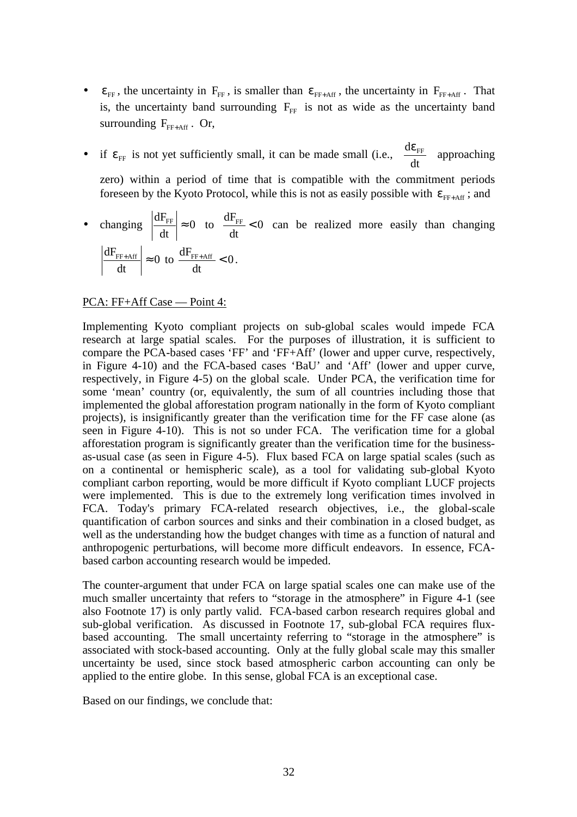- $\epsilon_{FF}$ , the uncertainty in  $F_{FF}$ , is smaller than  $\epsilon_{FF+Aff}$ , the uncertainty in  $F_{FF+Aff}$ . That is, the uncertainty band surrounding  $F_{FF}$  is not as wide as the uncertainty band surrounding  $F_{\text{FF+Aff}}$ . Or,
- if  $\varepsilon$ <sub>FF</sub> is not yet sufficiently small, it can be made small (i.e.,  $\left| \frac{d\mathbf{C}_{\text{FF}}}{dt} \right|$  $\bigg)$  $\frac{d\varepsilon_{\text{FF}}}{dt}$ l ( dε dt  $\frac{d\varepsilon_{FF}}{dt}$  approaching zero) within a period of time that is compatible with the commitment periods foreseen by the Kyoto Protocol, while this is not as easily possible with  $\varepsilon_{FF+Aff}$ ; and
- changing  $\frac{dP}{dr} \approx 0$ dt  $\frac{dF_{FF}}{dt} \approx 0$  to  $\frac{dF_{FF}}{dt} < 0$ dt  $\frac{dF_{FF}}{dr}$  < 0 can be realized more easily than changing 0 dt  $\frac{dF_{FF+Aff}}{dt} \approx 0$  to  $\frac{dF_{FF+Aff}}{dt} < 0$ dt  $\frac{\mathrm{d}F_{\mathrm{FF+Aff}}}{\mathrm{d}F} < 0 \, .$

#### PCA: FF+Aff Case — Point 4:

Implementing Kyoto compliant projects on sub-global scales would impede FCA research at large spatial scales. For the purposes of illustration, it is sufficient to compare the PCA-based cases 'FF' and 'FF+Aff' (lower and upper curve, respectively, in Figure 4-10) and the FCA-based cases 'BaU' and 'Aff' (lower and upper curve, respectively, in Figure 4-5) on the global scale. Under PCA, the verification time for some 'mean' country (or, equivalently, the sum of all countries including those that implemented the global afforestation program nationally in the form of Kyoto compliant projects), is insignificantly greater than the verification time for the FF case alone (as seen in Figure 4-10). This is not so under FCA. The verification time for a global afforestation program is significantly greater than the verification time for the businessas-usual case (as seen in Figure 4-5). Flux based FCA on large spatial scales (such as on a continental or hemispheric scale), as a tool for validating sub-global Kyoto compliant carbon reporting, would be more difficult if Kyoto compliant LUCF projects were implemented. This is due to the extremely long verification times involved in FCA. Today's primary FCA-related research objectives, i.e., the global-scale quantification of carbon sources and sinks and their combination in a closed budget, as well as the understanding how the budget changes with time as a function of natural and anthropogenic perturbations, will become more difficult endeavors. In essence, FCAbased carbon accounting research would be impeded.

The counter-argument that under FCA on large spatial scales one can make use of the much smaller uncertainty that refers to "storage in the atmosphere" in Figure 4-1 (see also Footnote 17) is only partly valid. FCA-based carbon research requires global and sub-global verification. As discussed in Footnote 17, sub-global FCA requires fluxbased accounting. The small uncertainty referring to "storage in the atmosphere" is associated with stock-based accounting. Only at the fully global scale may this smaller uncertainty be used, since stock based atmospheric carbon accounting can only be applied to the entire globe. In this sense, global FCA is an exceptional case.

Based on our findings, we conclude that: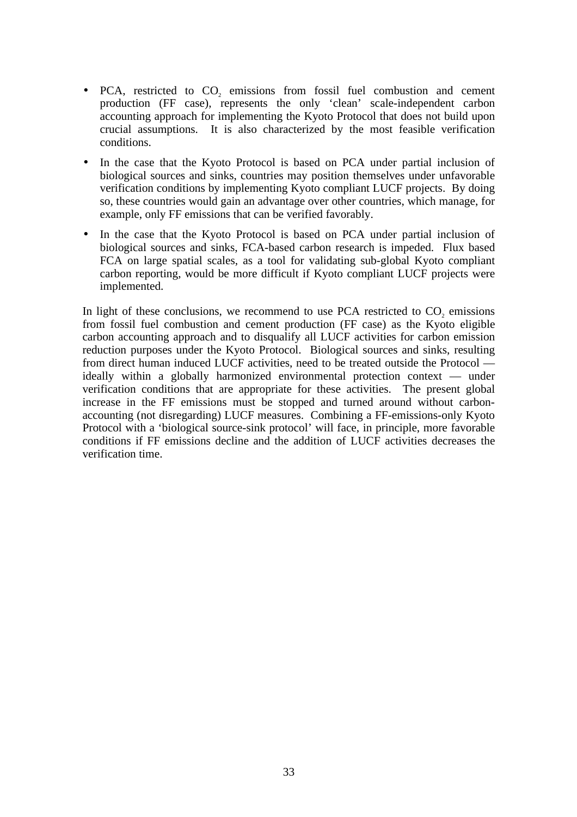- PCA, restricted to  $CO<sub>2</sub>$  emissions from fossil fuel combustion and cement production (FF case), represents the only 'clean' scale-independent carbon accounting approach for implementing the Kyoto Protocol that does not build upon crucial assumptions. It is also characterized by the most feasible verification conditions.
- In the case that the Kyoto Protocol is based on PCA under partial inclusion of biological sources and sinks, countries may position themselves under unfavorable verification conditions by implementing Kyoto compliant LUCF projects. By doing so, these countries would gain an advantage over other countries, which manage, for example, only FF emissions that can be verified favorably.
- In the case that the Kyoto Protocol is based on PCA under partial inclusion of biological sources and sinks, FCA-based carbon research is impeded. Flux based FCA on large spatial scales, as a tool for validating sub-global Kyoto compliant carbon reporting, would be more difficult if Kyoto compliant LUCF projects were implemented.

In light of these conclusions, we recommend to use PCA restricted to CO<sub>2</sub> emissions from fossil fuel combustion and cement production (FF case) as the Kyoto eligible carbon accounting approach and to disqualify all LUCF activities for carbon emission reduction purposes under the Kyoto Protocol. Biological sources and sinks, resulting from direct human induced LUCF activities, need to be treated outside the Protocol ideally within a globally harmonized environmental protection context — under verification conditions that are appropriate for these activities. The present global increase in the FF emissions must be stopped and turned around without carbonaccounting (not disregarding) LUCF measures. Combining a FF-emissions-only Kyoto Protocol with a 'biological source-sink protocol' will face, in principle, more favorable conditions if FF emissions decline and the addition of LUCF activities decreases the verification time.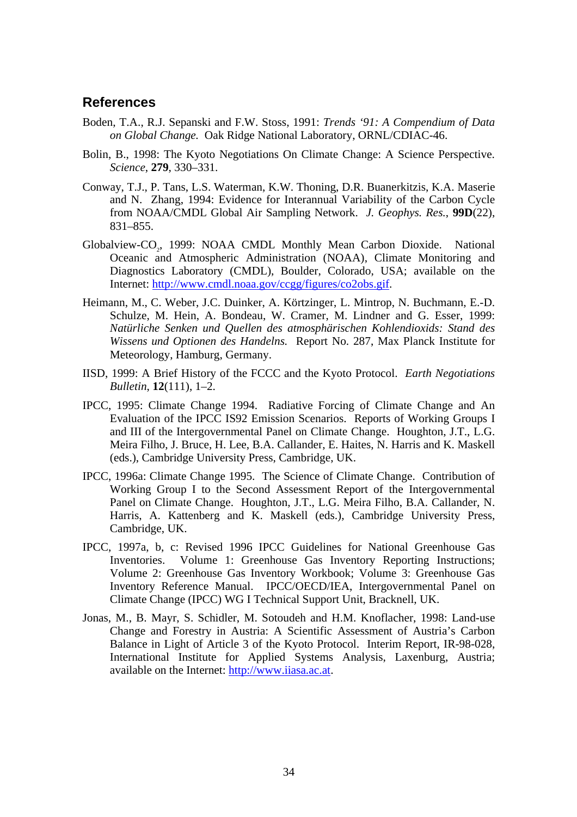### **References**

- Boden, T.A., R.J. Sepanski and F.W. Stoss, 1991: *Trends '91: A Compendium of Data on Global Change.* Oak Ridge National Laboratory, ORNL/CDIAC-46.
- Bolin, B., 1998: The Kyoto Negotiations On Climate Change: A Science Perspective. *Science*, **279**, 330–331.
- Conway, T.J., P. Tans, L.S. Waterman, K.W. Thoning, D.R. Buanerkitzis, K.A. Maserie and N. Zhang, 1994: Evidence for Interannual Variability of the Carbon Cycle from NOAA/CMDL Global Air Sampling Network. *J. Geophys. Res.*, **99D**(22), 831–855.
- Globalview-CO<sub>2</sub>, 1999: NOAA CMDL Monthly Mean Carbon Dioxide. National Oceanic and Atmospheric Administration (NOAA), Climate Monitoring and Diagnostics Laboratory (CMDL), Boulder, Colorado, USA; available on the Internet: http://www.cmdl.noaa.gov/ccgg/figures/co2obs.gif.
- Heimann, M., C. Weber, J.C. Duinker, A. Körtzinger, L. Mintrop, N. Buchmann, E.-D. Schulze, M. Hein, A. Bondeau, W. Cramer, M. Lindner and G. Esser, 1999: *Natürliche Senken und Quellen des atmosphärischen Kohlendioxids: Stand des Wissens und Optionen des Handelns.* Report No. 287, Max Planck Institute for Meteorology, Hamburg, Germany.
- IISD, 1999: A Brief History of the FCCC and the Kyoto Protocol. *Earth Negotiations Bulletin*, **12**(111), 1–2.
- IPCC, 1995: Climate Change 1994. Radiative Forcing of Climate Change and An Evaluation of the IPCC IS92 Emission Scenarios. Reports of Working Groups I and III of the Intergovernmental Panel on Climate Change. Houghton, J.T., L.G. Meira Filho, J. Bruce, H. Lee, B.A. Callander, E. Haites, N. Harris and K. Maskell (eds.), Cambridge University Press, Cambridge, UK.
- IPCC, 1996a: Climate Change 1995. The Science of Climate Change. Contribution of Working Group I to the Second Assessment Report of the Intergovernmental Panel on Climate Change. Houghton, J.T., L.G. Meira Filho, B.A. Callander, N. Harris, A. Kattenberg and K. Maskell (eds.), Cambridge University Press, Cambridge, UK.
- IPCC, 1997a, b, c: Revised 1996 IPCC Guidelines for National Greenhouse Gas Inventories. Volume 1: Greenhouse Gas Inventory Reporting Instructions; Volume 2: Greenhouse Gas Inventory Workbook; Volume 3: Greenhouse Gas Inventory Reference Manual. IPCC/OECD/IEA, Intergovernmental Panel on Climate Change (IPCC) WG I Technical Support Unit, Bracknell, UK.
- Jonas, M., B. Mayr, S. Schidler, M. Sotoudeh and H.M. Knoflacher, 1998: Land-use Change and Forestry in Austria: A Scientific Assessment of Austria's Carbon Balance in Light of Article 3 of the Kyoto Protocol. Interim Report, IR-98-028, International Institute for Applied Systems Analysis, Laxenburg, Austria; available on the Internet: http://www.iiasa.ac.at.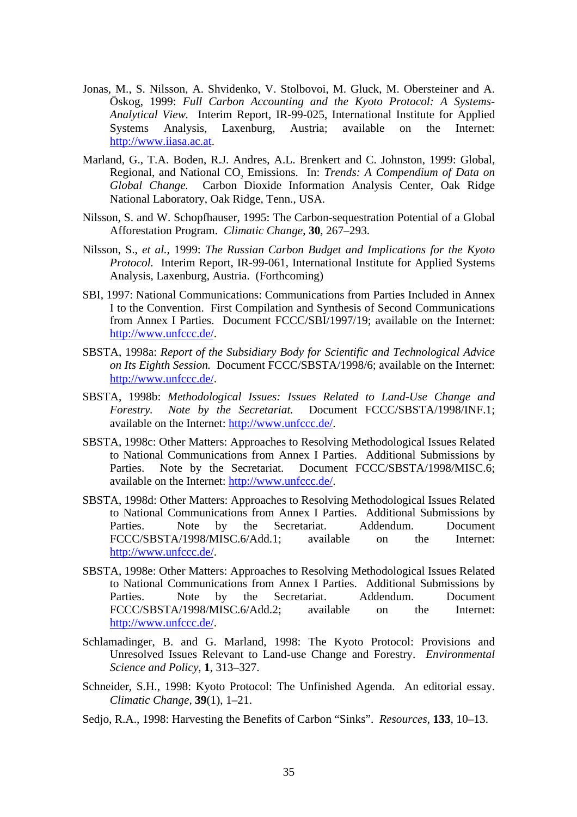- Jonas, M., S. Nilsson, A. Shvidenko, V. Stolbovoi, M. Gluck, M. Obersteiner and A. Öskog, 1999: *Full Carbon Accounting and the Kyoto Protocol: A Systems-Analytical View.* Interim Report, IR-99-025, International Institute for Applied Systems Analysis, Laxenburg, Austria; available on the Internet: http://www.iiasa.ac.at.
- Marland, G., T.A. Boden, R.J. Andres, A.L. Brenkert and C. Johnston, 1999: Global, Regional, and National CO<sub>2</sub> Emissions. In: *Trends: A Compendium of Data on Global Change.* Carbon Dioxide Information Analysis Center, Oak Ridge National Laboratory, Oak Ridge, Tenn., USA.
- Nilsson, S. and W. Schopfhauser, 1995: The Carbon-sequestration Potential of a Global Afforestation Program. *Climatic Change*, **30**, 267–293.
- Nilsson, S., *et al.*, 1999: *The Russian Carbon Budget and Implications for the Kyoto Protocol.* Interim Report, IR-99-061, International Institute for Applied Systems Analysis, Laxenburg, Austria. (Forthcoming)
- SBI, 1997: National Communications: Communications from Parties Included in Annex I to the Convention. First Compilation and Synthesis of Second Communications from Annex I Parties. Document FCCC/SBI/1997/19; available on the Internet: http://www.unfccc.de/.
- SBSTA, 1998a: *Report of the Subsidiary Body for Scientific and Technological Advice on Its Eighth Session.* Document FCCC/SBSTA/1998/6; available on the Internet: http://www.unfccc.de/.
- SBSTA, 1998b: *Methodological Issues: Issues Related to Land-Use Change and Forestry. Note by the Secretariat.* Document FCCC/SBSTA/1998/INF.1; available on the Internet: http://www.unfccc.de/.
- SBSTA, 1998c: Other Matters: Approaches to Resolving Methodological Issues Related to National Communications from Annex I Parties. Additional Submissions by Parties. Note by the Secretariat. Document FCCC/SBSTA/1998/MISC.6; available on the Internet: http://www.unfccc.de/.
- SBSTA, 1998d: Other Matters: Approaches to Resolving Methodological Issues Related to National Communications from Annex I Parties. Additional Submissions by Parties. Note by the Secretariat. Addendum. Document FCCC/SBSTA/1998/MISC.6/Add.1; available on the Internet: http://www.unfccc.de/.
- SBSTA, 1998e: Other Matters: Approaches to Resolving Methodological Issues Related to National Communications from Annex I Parties. Additional Submissions by Parties. Note by the Secretariat. Addendum. Document FCCC/SBSTA/1998/MISC.6/Add.2; available on the Internet: http://www.unfccc.de/.
- Schlamadinger, B. and G. Marland, 1998: The Kyoto Protocol: Provisions and Unresolved Issues Relevant to Land-use Change and Forestry. *Environmental Science and Policy*, **1**, 313–327.
- Schneider, S.H., 1998: Kyoto Protocol: The Unfinished Agenda. An editorial essay. *Climatic Change*, **39**(1), 1–21.
- Sedjo, R.A., 1998: Harvesting the Benefits of Carbon "Sinks". *Resources*, **133**, 10–13.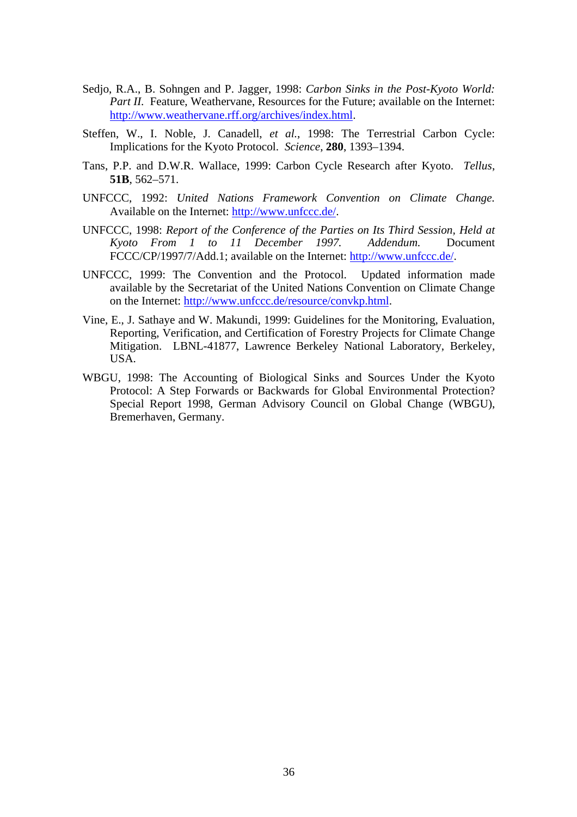- Sedjo, R.A., B. Sohngen and P. Jagger, 1998: *Carbon Sinks in the Post-Kyoto World: Part II.* Feature, Weathervane, Resources for the Future; available on the Internet: http://www.weathervane.rff.org/archives/index.html.
- Steffen, W., I. Noble, J. Canadell, *et al.*, 1998: The Terrestrial Carbon Cycle: Implications for the Kyoto Protocol. *Science*, **280**, 1393–1394.
- Tans, P.P. and D.W.R. Wallace, 1999: Carbon Cycle Research after Kyoto. *Tellus*, **51B**, 562–571.
- UNFCCC, 1992: *United Nations Framework Convention on Climate Change.* Available on the Internet: http://www.unfccc.de/.
- UNFCCC, 1998: *Report of the Conference of the Parties on Its Third Session, Held at Kyoto From 1 to 11 December 1997. Addendum.* Document FCCC/CP/1997/7/Add.1; available on the Internet: http://www.unfccc.de/.
- UNFCCC, 1999: The Convention and the Protocol. Updated information made available by the Secretariat of the United Nations Convention on Climate Change on the Internet: http://www.unfccc.de/resource/convkp.html.
- Vine, E., J. Sathaye and W. Makundi, 1999: Guidelines for the Monitoring, Evaluation, Reporting, Verification, and Certification of Forestry Projects for Climate Change Mitigation. LBNL-41877, Lawrence Berkeley National Laboratory, Berkeley, USA.
- WBGU, 1998: The Accounting of Biological Sinks and Sources Under the Kyoto Protocol: A Step Forwards or Backwards for Global Environmental Protection? Special Report 1998, German Advisory Council on Global Change (WBGU), Bremerhaven, Germany.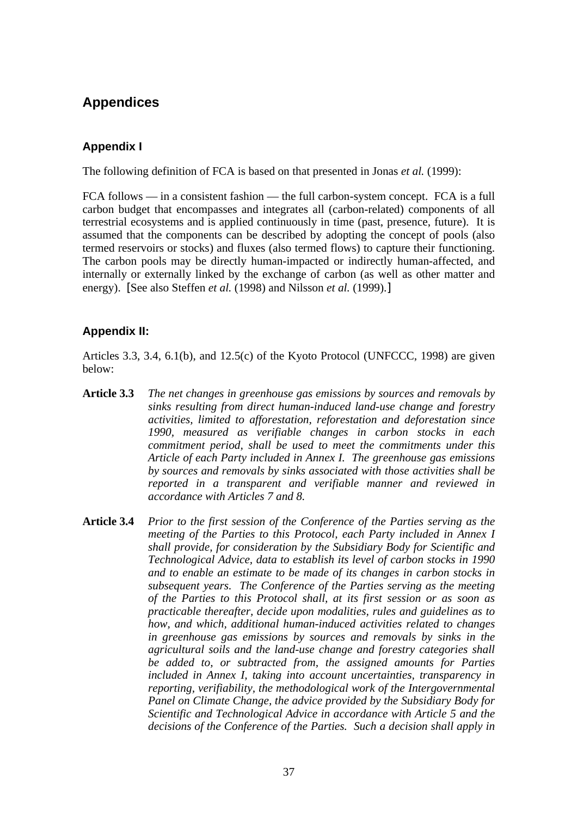# **Appendices**

### **Appendix I**

The following definition of FCA is based on that presented in Jonas *et al.* (1999):

FCA follows — in a consistent fashion — the full carbon-system concept. FCA is a full carbon budget that encompasses and integrates all (carbon-related) components of all terrestrial ecosystems and is applied continuously in time (past, presence, future). It is assumed that the components can be described by adopting the concept of pools (also termed reservoirs or stocks) and fluxes (also termed flows) to capture their functioning. The carbon pools may be directly human-impacted or indirectly human-affected, and internally or externally linked by the exchange of carbon (as well as other matter and energy). [See also Steffen *et al.* (1998) and Nilsson *et al.* (1999).]

### **Appendix II:**

Articles 3.3, 3.4, 6.1(b), and 12.5(c) of the Kyoto Protocol (UNFCCC, 1998) are given below:

- **Article 3.3** *The net changes in greenhouse gas emissions by sources and removals by sinks resulting from direct human-induced land-use change and forestry activities, limited to afforestation, reforestation and deforestation since 1990, measured as verifiable changes in carbon stocks in each commitment period, shall be used to meet the commitments under this Article of each Party included in Annex I. The greenhouse gas emissions by sources and removals by sinks associated with those activities shall be reported in a transparent and verifiable manner and reviewed in accordance with Articles 7 and 8.*
- **Article 3.4** *Prior to the first session of the Conference of the Parties serving as the meeting of the Parties to this Protocol, each Party included in Annex I shall provide, for consideration by the Subsidiary Body for Scientific and Technological Advice, data to establish its level of carbon stocks in 1990 and to enable an estimate to be made of its changes in carbon stocks in subsequent years. The Conference of the Parties serving as the meeting of the Parties to this Protocol shall, at its first session or as soon as practicable thereafter, decide upon modalities, rules and guidelines as to how, and which, additional human-induced activities related to changes in greenhouse gas emissions by sources and removals by sinks in the agricultural soils and the land-use change and forestry categories shall be added to, or subtracted from, the assigned amounts for Parties included in Annex I, taking into account uncertainties, transparency in reporting, verifiability, the methodological work of the Intergovernmental Panel on Climate Change, the advice provided by the Subsidiary Body for Scientific and Technological Advice in accordance with Article 5 and the decisions of the Conference of the Parties. Such a decision shall apply in*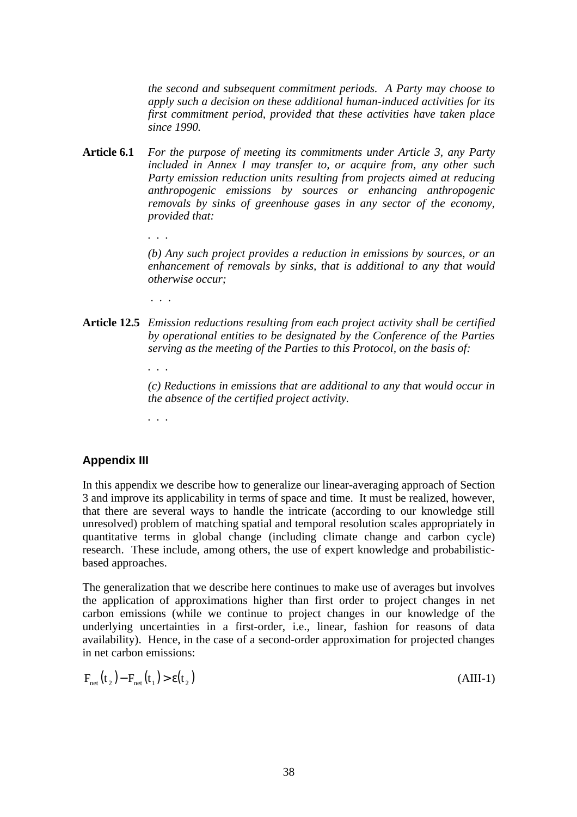*the second and subsequent commitment periods. A Party may choose to apply such a decision on these additional human-induced activities for its first commitment period, provided that these activities have taken place since 1990.*

- **Article 6.1** *For the purpose of meeting its commitments under Article 3, any Party included in Annex I may transfer to, or acquire from, any other such Party emission reduction units resulting from projects aimed at reducing anthropogenic emissions by sources or enhancing anthropogenic removals by sinks of greenhouse gases in any sector of the economy, provided that:*
	- *. . .*

*(b) Any such project provides a reduction in emissions by sources, or an enhancement of removals by sinks, that is additional to any that would otherwise occur;*

 *. . .*

**Article 12.5** *Emission reductions resulting from each project activity shall be certified by operational entities to be designated by the Conference of the Parties serving as the meeting of the Parties to this Protocol, on the basis of:*

> *(c) Reductions in emissions that are additional to any that would occur in the absence of the certified project activity.*

*. . .*

*. . .*

### **Appendix III**

In this appendix we describe how to generalize our linear-averaging approach of Section 3 and improve its applicability in terms of space and time. It must be realized, however, that there are several ways to handle the intricate (according to our knowledge still unresolved) problem of matching spatial and temporal resolution scales appropriately in quantitative terms in global change (including climate change and carbon cycle) research. These include, among others, the use of expert knowledge and probabilisticbased approaches.

The generalization that we describe here continues to make use of averages but involves the application of approximations higher than first order to project changes in net carbon emissions (while we continue to project changes in our knowledge of the underlying uncertainties in a first-order, i.e., linear, fashion for reasons of data availability). Hence, in the case of a second-order approximation for projected changes in net carbon emissions:

$$
F_{\text{net}}(t_2) - F_{\text{net}}(t_1) > \varepsilon(t_2)
$$
\n(AIII-1)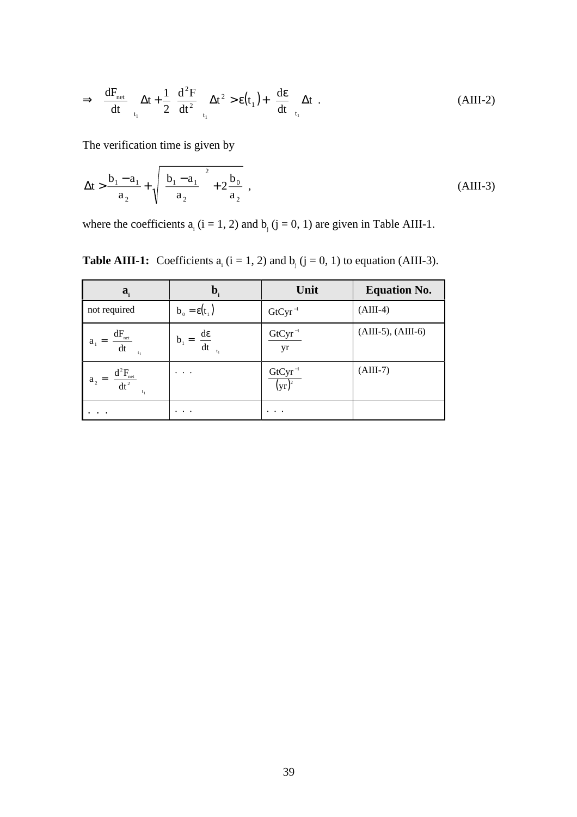$$
\Rightarrow \left(\frac{dF_{\text{net}}}{dt}\right)_{t_1} \Delta t + \frac{1}{2} \left(\frac{d^2 F}{dt^2}\right)_{t_1} \Delta t^2 > \epsilon(t_1) + \left(\frac{d\epsilon}{dt}\right)_{t_1} \Delta t \quad . \tag{AIII-2}
$$

The verification time is given by

$$
\Delta t > \frac{b_1 - a_1}{a_2} + \sqrt{\left(\frac{b_1 - a_1}{a_2}\right)^2 + 2\frac{b_0}{a_2}},
$$
\n(AIII-3)

where the coefficients  $a_i$  (i = 1, 2) and  $b_j$  (j = 0, 1) are given in Table AIII-1.

**Table AIII-1:** Coefficients  $a_i$  ( $i = 1, 2$ ) and  $b_j$  ( $j = 0, 1$ ) to equation (AIII-3).

| $a_i$                                                  | $\mathbf{b}_{i}$                                   | Unit                        | <b>Equation No.</b>     |
|--------------------------------------------------------|----------------------------------------------------|-----------------------------|-------------------------|
| not required                                           | $b_0 = \varepsilon(t_1)$                           | $GtCyr^{-1}$                | $(AIII-4)$              |
| $a_1 = \left(\frac{dF_{\text{net}}}{dt}\right)_{t_1}$  | $b_1 = \left(\frac{d\varepsilon}{dt}\right)_{t_1}$ | $GtCyr^{-1}$<br>yr          | $(AIII-5)$ , $(AIII-6)$ |
| $a_2 = \left(\frac{d^2 F_{\text{net}}}{dt^2}\right)^2$ | $\cdots$                                           | $\frac{GtCyr^{-1}}{(yr)^2}$ | $(AIII-7)$              |
|                                                        | $\cdots$                                           | $\cdot$ .                   |                         |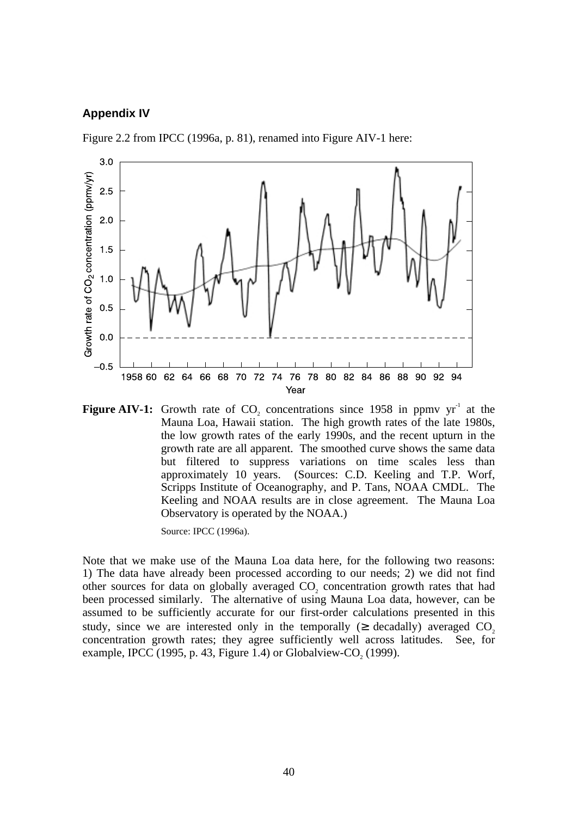#### **Appendix IV**





**Figure AIV-1:** Growth rate of CO<sub>2</sub> concentrations since 1958 in ppmv  $yr<sup>-1</sup>$  at the Mauna Loa, Hawaii station. The high growth rates of the late 1980s, the low growth rates of the early 1990s, and the recent upturn in the growth rate are all apparent. The smoothed curve shows the same data but filtered to suppress variations on time scales less than approximately 10 years. (Sources: C.D. Keeling and T.P. Worf, Scripps Institute of Oceanography, and P. Tans, NOAA CMDL. The Keeling and NOAA results are in close agreement. The Mauna Loa Observatory is operated by the NOAA.)

Source: IPCC (1996a).

Note that we make use of the Mauna Loa data here, for the following two reasons: 1) The data have already been processed according to our needs; 2) we did not find other sources for data on globally averaged CO<sub>2</sub> concentration growth rates that had been processed similarly. The alternative of using Mauna Loa data, however, can be assumed to be sufficiently accurate for our first-order calculations presented in this study, since we are interested only in the temporally  $(\geq)$  decadally) averaged CO<sub>2</sub>. concentration growth rates; they agree sufficiently well across latitudes. See, for example, IPCC  $(1995, p. 43, Figure 1.4)$  or Globalview-CO<sub>2</sub>  $(1999)$ .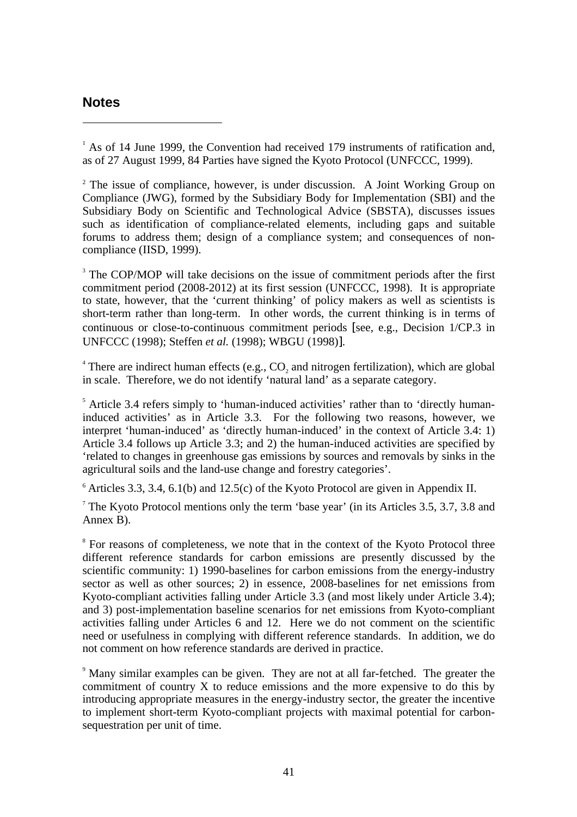### **Notes**

-

<sup>1</sup> As of 14 June 1999, the Convention had received 179 instruments of ratification and, as of 27 August 1999, 84 Parties have signed the Kyoto Protocol (UNFCCC, 1999).

<sup>2</sup> The issue of compliance, however, is under discussion. A Joint Working Group on Compliance (JWG), formed by the Subsidiary Body for Implementation (SBI) and the Subsidiary Body on Scientific and Technological Advice (SBSTA), discusses issues such as identification of compliance-related elements, including gaps and suitable forums to address them; design of a compliance system; and consequences of noncompliance (IISD, 1999).

<sup>3</sup> The COP/MOP will take decisions on the issue of commitment periods after the first commitment period (2008-2012) at its first session (UNFCCC, 1998). It is appropriate to state, however, that the 'current thinking' of policy makers as well as scientists is short-term rather than long-term. In other words, the current thinking is in terms of continuous or close-to-continuous commitment periods [see, e.g., Decision 1/CP.3 in UNFCCC (1998); Steffen *et al.* (1998); WBGU (1998)].

<sup>4</sup> There are indirect human effects (e.g.,  $CO_2$  and nitrogen fertilization), which are global in scale. Therefore, we do not identify 'natural land' as a separate category.

<sup>5</sup> Article 3.4 refers simply to 'human-induced activities' rather than to 'directly humaninduced activities' as in Article 3.3. For the following two reasons, however, we interpret 'human-induced' as 'directly human-induced' in the context of Article 3.4: 1) Article 3.4 follows up Article 3.3; and 2) the human-induced activities are specified by 'related to changes in greenhouse gas emissions by sources and removals by sinks in the agricultural soils and the land-use change and forestry categories'.

 $6$  Articles 3.3, 3.4, 6.1(b) and 12.5(c) of the Kyoto Protocol are given in Appendix II.

<sup>7</sup> The Kyoto Protocol mentions only the term 'base year' (in its Articles 3.5, 3.7, 3.8 and Annex B).

<sup>8</sup> For reasons of completeness, we note that in the context of the Kyoto Protocol three different reference standards for carbon emissions are presently discussed by the scientific community: 1) 1990-baselines for carbon emissions from the energy-industry sector as well as other sources; 2) in essence, 2008-baselines for net emissions from Kyoto-compliant activities falling under Article 3.3 (and most likely under Article 3.4); and 3) post-implementation baseline scenarios for net emissions from Kyoto-compliant activities falling under Articles 6 and 12. Here we do not comment on the scientific need or usefulness in complying with different reference standards. In addition, we do not comment on how reference standards are derived in practice.

<sup>9</sup> Many similar examples can be given. They are not at all far-fetched. The greater the commitment of country X to reduce emissions and the more expensive to do this by introducing appropriate measures in the energy-industry sector, the greater the incentive to implement short-term Kyoto-compliant projects with maximal potential for carbonsequestration per unit of time.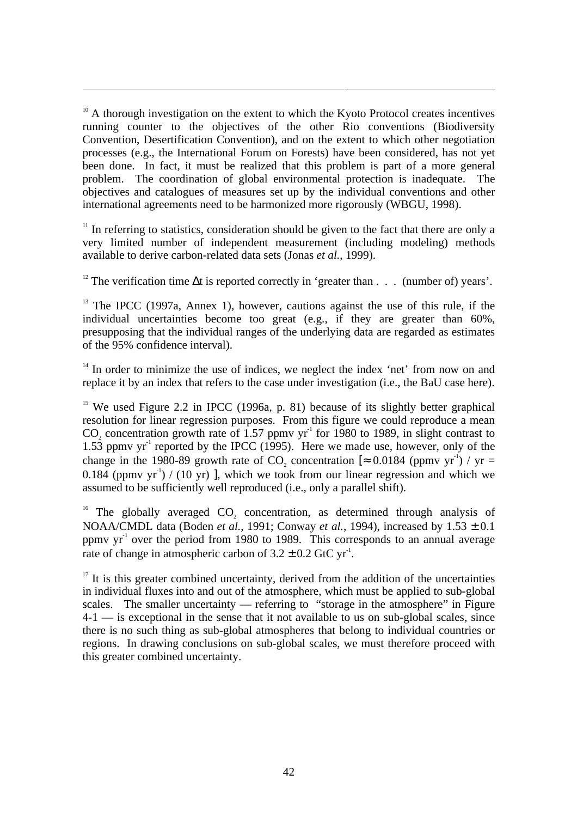$10<sup>10</sup>$  A thorough investigation on the extent to which the Kyoto Protocol creates incentives running counter to the objectives of the other Rio conventions (Biodiversity Convention, Desertification Convention), and on the extent to which other negotiation processes (e.g., the International Forum on Forests) have been considered, has not yet been done. In fact, it must be realized that this problem is part of a more general problem. The coordination of global environmental protection is inadequate. The objectives and catalogues of measures set up by the individual conventions and other international agreements need to be harmonized more rigorously (WBGU, 1998).

-

 $11$  In referring to statistics, consideration should be given to the fact that there are only a very limited number of independent measurement (including modeling) methods available to derive carbon-related data sets (Jonas *et al.*, 1999).

<sup>12</sup> The verification time  $\Delta t$  is reported correctly in 'greater than . . . (number of) years'.

<sup>13</sup> The IPCC (1997a, Annex 1), however, cautions against the use of this rule, if the individual uncertainties become too great (e.g., if they are greater than 60%, presupposing that the individual ranges of the underlying data are regarded as estimates of the 95% confidence interval).

 $14$  In order to minimize the use of indices, we neglect the index 'net' from now on and replace it by an index that refers to the case under investigation (i.e., the BaU case here).

<sup>15</sup> We used Figure 2.2 in IPCC (1996a, p. 81) because of its slightly better graphical resolution for linear regression purposes. From this figure we could reproduce a mean CO<sub>2</sub> concentration growth rate of 1.57 ppmv yr<sup>-1</sup> for 1980 to 1989, in slight contrast to  $1.53$  ppmv yr<sup>-1</sup> reported by the IPCC (1995). Here we made use, however, only of the change in the 1980-89 growth rate of CO<sub>2</sub> concentration  $\approx 0.0184$  (ppmv yr<sup>-1</sup>) / yr = 0.184 (ppmv  $yr^{-1}$ ) / (10 yr) ], which we took from our linear regression and which we assumed to be sufficiently well reproduced (i.e., only a parallel shift).

<sup>16</sup> The globally averaged  $CO<sub>2</sub>$  concentration, as determined through analysis of NOAA/CMDL data (Boden *et al.*, 1991; Conway *et al.*, 1994), increased by 1.53 ± 0.1 ppmv  $yr<sup>-1</sup>$  over the period from 1980 to 1989. This corresponds to an annual average rate of change in atmospheric carbon of  $3.2 \pm 0.2$  GtC yr<sup>1</sup>.

 $17$  It is this greater combined uncertainty, derived from the addition of the uncertainties in individual fluxes into and out of the atmosphere, which must be applied to sub-global scales. The smaller uncertainty — referring to "storage in the atmosphere" in Figure 4-1 — is exceptional in the sense that it not available to us on sub-global scales, since there is no such thing as sub-global atmospheres that belong to individual countries or regions. In drawing conclusions on sub-global scales, we must therefore proceed with this greater combined uncertainty.